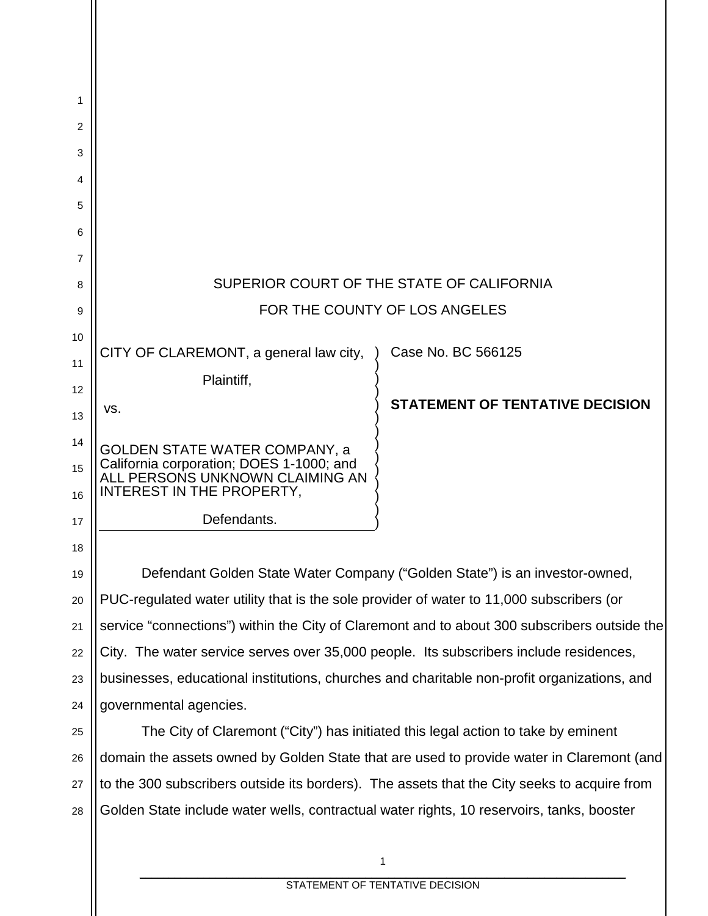| 1  |                                                                                             |                                                                                              |  |
|----|---------------------------------------------------------------------------------------------|----------------------------------------------------------------------------------------------|--|
| 2  |                                                                                             |                                                                                              |  |
| 3  |                                                                                             |                                                                                              |  |
| 4  |                                                                                             |                                                                                              |  |
| 5  |                                                                                             |                                                                                              |  |
| 6  |                                                                                             |                                                                                              |  |
| 7  |                                                                                             |                                                                                              |  |
| 8  | SUPERIOR COURT OF THE STATE OF CALIFORNIA                                                   |                                                                                              |  |
| 9  | FOR THE COUNTY OF LOS ANGELES                                                               |                                                                                              |  |
| 10 |                                                                                             |                                                                                              |  |
| 11 | CITY OF CLAREMONT, a general law city,                                                      | Case No. BC 566125                                                                           |  |
| 12 | Plaintiff,                                                                                  |                                                                                              |  |
| 13 | VS.                                                                                         | <b>STATEMENT OF TENTATIVE DECISION</b>                                                       |  |
| 14 | <b>GOLDEN STATE WATER COMPANY, a</b>                                                        |                                                                                              |  |
| 15 | California corporation; DOES 1-1000; and<br>ALL PERSONS UNKNOWN CLAIMING AN                 |                                                                                              |  |
| 16 | INTEREST IN THE PROPERTY.                                                                   |                                                                                              |  |
| 17 | Defendants.                                                                                 |                                                                                              |  |
| 18 |                                                                                             |                                                                                              |  |
| 19 |                                                                                             | Defendant Golden State Water Company ("Golden State") is an investor-owned,                  |  |
| 20 | PUC-regulated water utility that is the sole provider of water to 11,000 subscribers (or    |                                                                                              |  |
| 21 |                                                                                             | service "connections") within the City of Claremont and to about 300 subscribers outside the |  |
| 22 | City. The water service serves over 35,000 people. Its subscribers include residences,      |                                                                                              |  |
| 23 | businesses, educational institutions, churches and charitable non-profit organizations, and |                                                                                              |  |
| 24 | governmental agencies.                                                                      |                                                                                              |  |
| 25 |                                                                                             | The City of Claremont ("City") has initiated this legal action to take by eminent            |  |
| 26 | domain the assets owned by Golden State that are used to provide water in Claremont (and    |                                                                                              |  |
| 27 | to the 300 subscribers outside its borders). The assets that the City seeks to acquire from |                                                                                              |  |
| 28 | Golden State include water wells, contractual water rights, 10 reservoirs, tanks, booster   |                                                                                              |  |
|    |                                                                                             |                                                                                              |  |

\_\_\_\_\_\_\_\_\_\_\_\_\_\_\_\_\_\_\_\_\_\_\_\_\_\_\_\_\_\_\_\_\_\_\_\_\_\_\_\_\_\_\_\_\_\_\_\_\_\_\_\_\_\_\_\_\_\_\_\_\_\_\_\_\_\_\_\_\_\_\_\_\_\_\_\_\_\_\_\_\_\_\_\_ STATEMENT OF TENTATIVE DECISION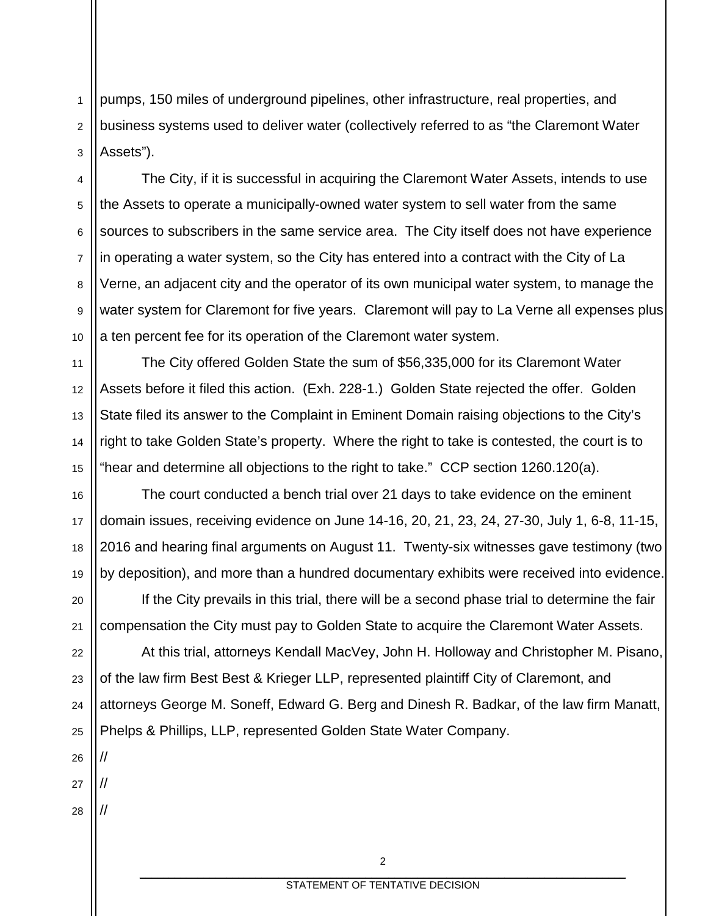1 2 3 pumps, 150 miles of underground pipelines, other infrastructure, real properties, and business systems used to deliver water (collectively referred to as "the Claremont Water Assets").

4 5 6 7 8 9 10 The City, if it is successful in acquiring the Claremont Water Assets, intends to use the Assets to operate a municipally-owned water system to sell water from the same sources to subscribers in the same service area. The City itself does not have experience in operating a water system, so the City has entered into a contract with the City of La Verne, an adjacent city and the operator of its own municipal water system, to manage the water system for Claremont for five years. Claremont will pay to La Verne all expenses plus a ten percent fee for its operation of the Claremont water system.

The City offered Golden State the sum of \$56,335,000 for its Claremont Water Assets before it filed this action. (Exh. 228-1.) Golden State rejected the offer. Golden State filed its answer to the Complaint in Eminent Domain raising objections to the City's right to take Golden State's property. Where the right to take is contested, the court is to "hear and determine all objections to the right to take." CCP section 1260.120(a).

16 17 18 19 The court conducted a bench trial over 21 days to take evidence on the eminent domain issues, receiving evidence on June 14-16, 20, 21, 23, 24, 27-30, July 1, 6-8, 11-15, 2016 and hearing final arguments on August 11. Twenty-six witnesses gave testimony (two by deposition), and more than a hundred documentary exhibits were received into evidence.

If the City prevails in this trial, there will be a second phase trial to determine the fair compensation the City must pay to Golden State to acquire the Claremont Water Assets.

22 23 24 25 At this trial, attorneys Kendall MacVey, John H. Holloway and Christopher M. Pisano, of the law firm Best Best & Krieger LLP, represented plaintiff City of Claremont, and attorneys George M. Soneff, Edward G. Berg and Dinesh R. Badkar, of the law firm Manatt, Phelps & Phillips, LLP, represented Golden State Water Company.

26 27

//

//

//

11

12

13

14

15

20

21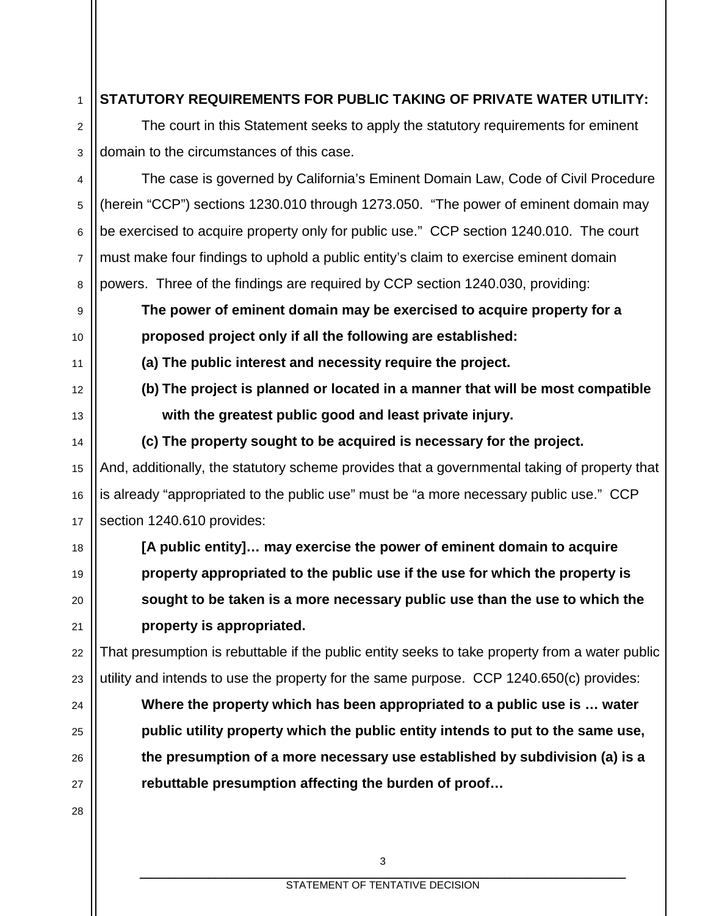### **STATUTORY REQUIREMENTS FOR PUBLIC TAKING OF PRIVATE WATER UTILITY:**

1

2

3

9

10

11

12

13

14

15

16

17

18

19

20

21

22

23

24

25

26

27

28

The court in this Statement seeks to apply the statutory requirements for eminent domain to the circumstances of this case.

4 5 6 7 8 The case is governed by California's Eminent Domain Law, Code of Civil Procedure (herein "CCP") sections 1230.010 through 1273.050. "The power of eminent domain may be exercised to acquire property only for public use." CCP section 1240.010. The court must make four findings to uphold a public entity's claim to exercise eminent domain powers. Three of the findings are required by CCP section 1240.030, providing:

**The power of eminent domain may be exercised to acquire property for a proposed project only if all the following are established:**

**(a) The public interest and necessity require the project.**

**(b) The project is planned or located in a manner that will be most compatible with the greatest public good and least private injury.**

**(c) The property sought to be acquired is necessary for the project.** And, additionally, the statutory scheme provides that a governmental taking of property that is already "appropriated to the public use" must be "a more necessary public use." CCP section 1240.610 provides:

**[A public entity]… may exercise the power of eminent domain to acquire property appropriated to the public use if the use for which the property is sought to be taken is a more necessary public use than the use to which the property is appropriated.**

That presumption is rebuttable if the public entity seeks to take property from a water public utility and intends to use the property for the same purpose. CCP 1240.650(c) provides:

**Where the property which has been appropriated to a public use is … water public utility property which the public entity intends to put to the same use, the presumption of a more necessary use established by subdivision (a) is a rebuttable presumption affecting the burden of proof…**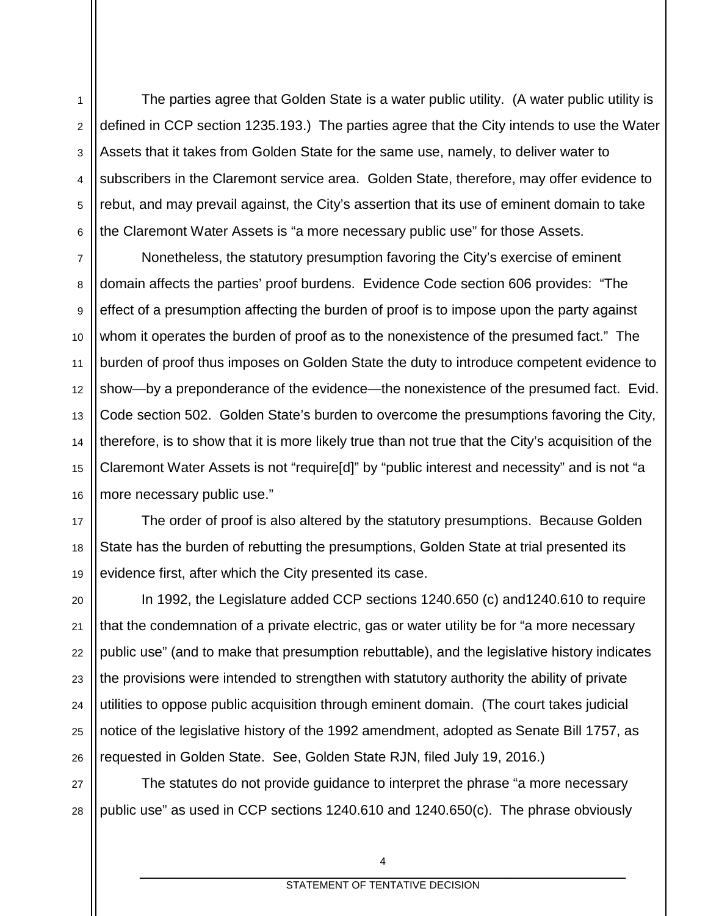1 2 3 4 5 6 The parties agree that Golden State is a water public utility. (A water public utility is defined in CCP section 1235.193.) The parties agree that the City intends to use the Water Assets that it takes from Golden State for the same use, namely, to deliver water to subscribers in the Claremont service area. Golden State, therefore, may offer evidence to rebut, and may prevail against, the City's assertion that its use of eminent domain to take the Claremont Water Assets is "a more necessary public use" for those Assets.

7 8 9 10 11 12 13 14 15 16 Nonetheless, the statutory presumption favoring the City's exercise of eminent domain affects the parties' proof burdens. Evidence Code section 606 provides: "The effect of a presumption affecting the burden of proof is to impose upon the party against whom it operates the burden of proof as to the nonexistence of the presumed fact." The burden of proof thus imposes on Golden State the duty to introduce competent evidence to show—by a preponderance of the evidence—the nonexistence of the presumed fact. Evid. Code section 502. Golden State's burden to overcome the presumptions favoring the City, therefore, is to show that it is more likely true than not true that the City's acquisition of the Claremont Water Assets is not "require[d]" by "public interest and necessity" and is not "a more necessary public use."

The order of proof is also altered by the statutory presumptions. Because Golden State has the burden of rebutting the presumptions, Golden State at trial presented its evidence first, after which the City presented its case.

22 In 1992, the Legislature added CCP sections 1240.650 (c) and1240.610 to require that the condemnation of a private electric, gas or water utility be for "a more necessary public use" (and to make that presumption rebuttable), and the legislative history indicates the provisions were intended to strengthen with statutory authority the ability of private utilities to oppose public acquisition through eminent domain. (The court takes judicial notice of the legislative history of the 1992 amendment, adopted as Senate Bill 1757, as requested in Golden State. See, Golden State RJN, filed July 19, 2016.)

27 28 The statutes do not provide guidance to interpret the phrase "a more necessary public use" as used in CCP sections 1240.610 and 1240.650(c). The phrase obviously

17

18

19

20

21

23

24

25

26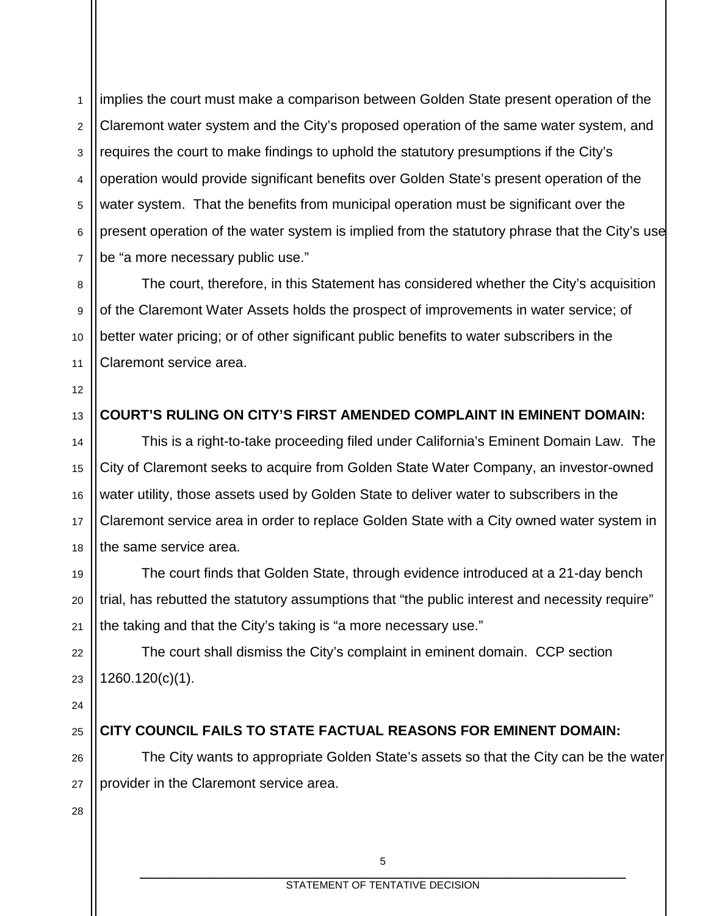1 2 3 4 5 6 7 implies the court must make a comparison between Golden State present operation of the Claremont water system and the City's proposed operation of the same water system, and requires the court to make findings to uphold the statutory presumptions if the City's operation would provide significant benefits over Golden State's present operation of the water system. That the benefits from municipal operation must be significant over the present operation of the water system is implied from the statutory phrase that the City's use be "a more necessary public use."

The court, therefore, in this Statement has considered whether the City's acquisition of the Claremont Water Assets holds the prospect of improvements in water service; of better water pricing; or of other significant public benefits to water subscribers in the Claremont service area.

12

13

14

15

16

17

18

19

20

21

22

23

11

8

9

10

### **COURT'S RULING ON CITY'S FIRST AMENDED COMPLAINT IN EMINENT DOMAIN:**

This is a right-to-take proceeding filed under California's Eminent Domain Law. The City of Claremont seeks to acquire from Golden State Water Company, an investor-owned water utility, those assets used by Golden State to deliver water to subscribers in the Claremont service area in order to replace Golden State with a City owned water system in the same service area.

The court finds that Golden State, through evidence introduced at a 21-day bench trial, has rebutted the statutory assumptions that "the public interest and necessity require" the taking and that the City's taking is "a more necessary use."

The court shall dismiss the City's complaint in eminent domain. CCP section 1260.120(c)(1).

24

25

26

27

#### **CITY COUNCIL FAILS TO STATE FACTUAL REASONS FOR EMINENT DOMAIN:**

The City wants to appropriate Golden State's assets so that the City can be the water provider in the Claremont service area.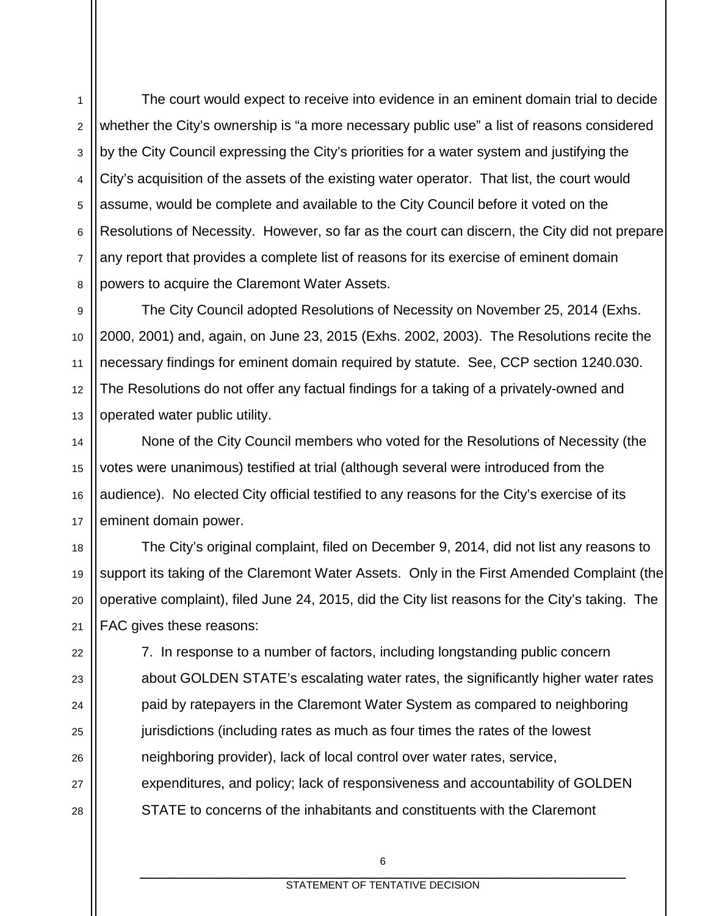1 2 3 4 5 6 7 8 The court would expect to receive into evidence in an eminent domain trial to decide whether the City's ownership is "a more necessary public use" a list of reasons considered by the City Council expressing the City's priorities for a water system and justifying the City's acquisition of the assets of the existing water operator. That list, the court would assume, would be complete and available to the City Council before it voted on the Resolutions of Necessity. However, so far as the court can discern, the City did not prepare any report that provides a complete list of reasons for its exercise of eminent domain powers to acquire the Claremont Water Assets.

9 10 11 12 13 The City Council adopted Resolutions of Necessity on November 25, 2014 (Exhs. 2000, 2001) and, again, on June 23, 2015 (Exhs. 2002, 2003). The Resolutions recite the necessary findings for eminent domain required by statute. See, CCP section 1240.030. The Resolutions do not offer any factual findings for a taking of a privately-owned and operated water public utility.

None of the City Council members who voted for the Resolutions of Necessity (the votes were unanimous) testified at trial (although several were introduced from the audience). No elected City official testified to any reasons for the City's exercise of its eminent domain power.

14

15

16

17

22

23

24

25

26

27

28

18 19 20 21 The City's original complaint, filed on December 9, 2014, did not list any reasons to support its taking of the Claremont Water Assets. Only in the First Amended Complaint (the operative complaint), filed June 24, 2015, did the City list reasons for the City's taking. The FAC gives these reasons:

7. In response to a number of factors, including longstanding public concern about GOLDEN STATE's escalating water rates, the significantly higher water rates paid by ratepayers in the Claremont Water System as compared to neighboring jurisdictions (including rates as much as four times the rates of the lowest neighboring provider), lack of local control over water rates, service, expenditures, and policy; lack of responsiveness and accountability of GOLDEN STATE to concerns of the inhabitants and constituents with the Claremont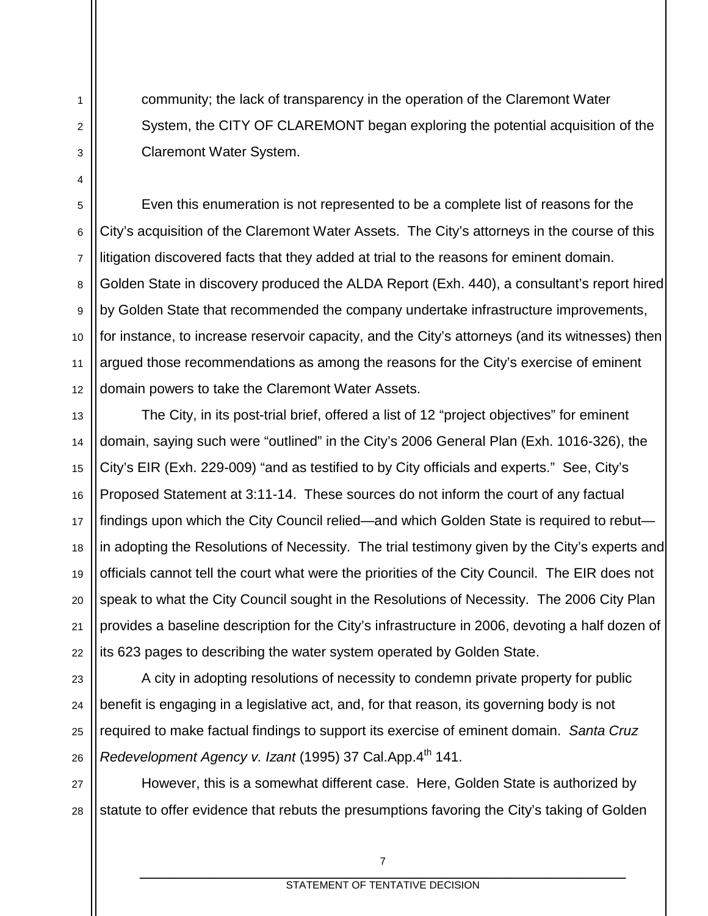community; the lack of transparency in the operation of the Claremont Water System, the CITY OF CLAREMONT began exploring the potential acquisition of the Claremont Water System.

1

2

3

4

5

6

7

8

9

10

11

12 Even this enumeration is not represented to be a complete list of reasons for the City's acquisition of the Claremont Water Assets. The City's attorneys in the course of this litigation discovered facts that they added at trial to the reasons for eminent domain. Golden State in discovery produced the ALDA Report (Exh. 440), a consultant's report hired by Golden State that recommended the company undertake infrastructure improvements, for instance, to increase reservoir capacity, and the City's attorneys (and its witnesses) then argued those recommendations as among the reasons for the City's exercise of eminent domain powers to take the Claremont Water Assets.

13 14 15 16 17 18 19 20 21 22 The City, in its post-trial brief, offered a list of 12 "project objectives" for eminent domain, saying such were "outlined" in the City's 2006 General Plan (Exh. 1016-326), the City's EIR (Exh. 229-009) "and as testified to by City officials and experts." See, City's Proposed Statement at 3:11-14. These sources do not inform the court of any factual findings upon which the City Council relied—and which Golden State is required to rebut in adopting the Resolutions of Necessity. The trial testimony given by the City's experts and officials cannot tell the court what were the priorities of the City Council. The EIR does not speak to what the City Council sought in the Resolutions of Necessity. The 2006 City Plan provides a baseline description for the City's infrastructure in 2006, devoting a half dozen of its 623 pages to describing the water system operated by Golden State.

23 24 25 26 A city in adopting resolutions of necessity to condemn private property for public benefit is engaging in a legislative act, and, for that reason, its governing body is not required to make factual findings to support its exercise of eminent domain. *Santa Cruz Redevelopment Agency v. Izant* (1995) 37 Cal.App.4<sup>th</sup> 141.

27 28 However, this is a somewhat different case. Here, Golden State is authorized by statute to offer evidence that rebuts the presumptions favoring the City's taking of Golden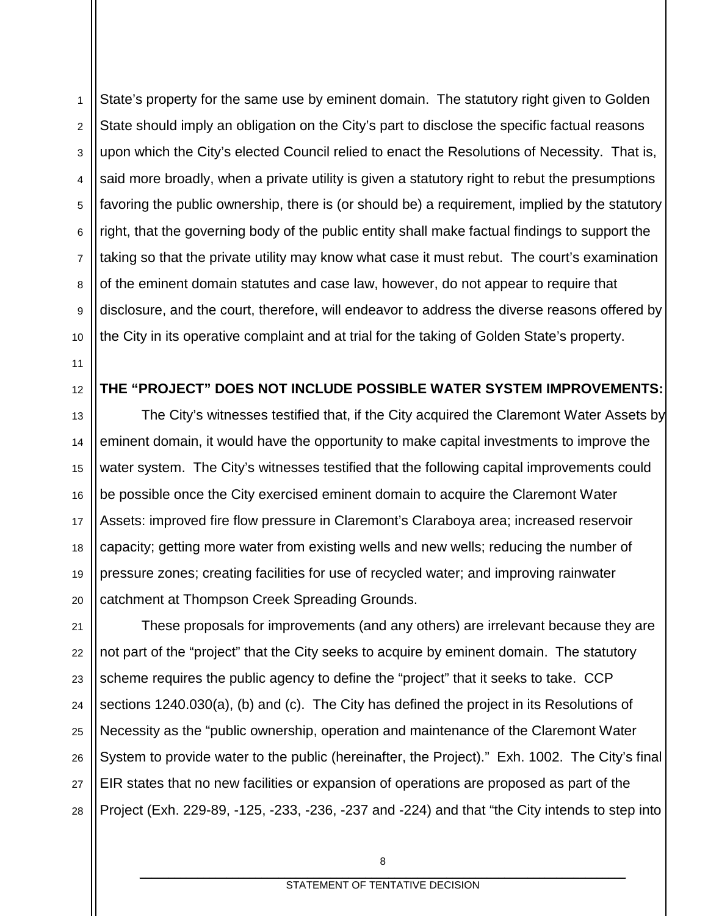1 2 3 4 5 6 7 8 9 10 State's property for the same use by eminent domain. The statutory right given to Golden State should imply an obligation on the City's part to disclose the specific factual reasons upon which the City's elected Council relied to enact the Resolutions of Necessity. That is, said more broadly, when a private utility is given a statutory right to rebut the presumptions favoring the public ownership, there is (or should be) a requirement, implied by the statutory right, that the governing body of the public entity shall make factual findings to support the taking so that the private utility may know what case it must rebut. The court's examination of the eminent domain statutes and case law, however, do not appear to require that disclosure, and the court, therefore, will endeavor to address the diverse reasons offered by the City in its operative complaint and at trial for the taking of Golden State's property.

11

12

#### **THE "PROJECT" DOES NOT INCLUDE POSSIBLE WATER SYSTEM IMPROVEMENTS:**

13 14 15 16 17 18 19 20 The City's witnesses testified that, if the City acquired the Claremont Water Assets by eminent domain, it would have the opportunity to make capital investments to improve the water system. The City's witnesses testified that the following capital improvements could be possible once the City exercised eminent domain to acquire the Claremont Water Assets: improved fire flow pressure in Claremont's Claraboya area; increased reservoir capacity; getting more water from existing wells and new wells; reducing the number of pressure zones; creating facilities for use of recycled water; and improving rainwater catchment at Thompson Creek Spreading Grounds.

21 22 23 24 25 26 27 28 These proposals for improvements (and any others) are irrelevant because they are not part of the "project" that the City seeks to acquire by eminent domain. The statutory scheme requires the public agency to define the "project" that it seeks to take. CCP sections 1240.030(a), (b) and (c). The City has defined the project in its Resolutions of Necessity as the "public ownership, operation and maintenance of the Claremont Water System to provide water to the public (hereinafter, the Project)." Exh. 1002. The City's final EIR states that no new facilities or expansion of operations are proposed as part of the Project (Exh. 229-89, -125, -233, -236, -237 and -224) and that "the City intends to step into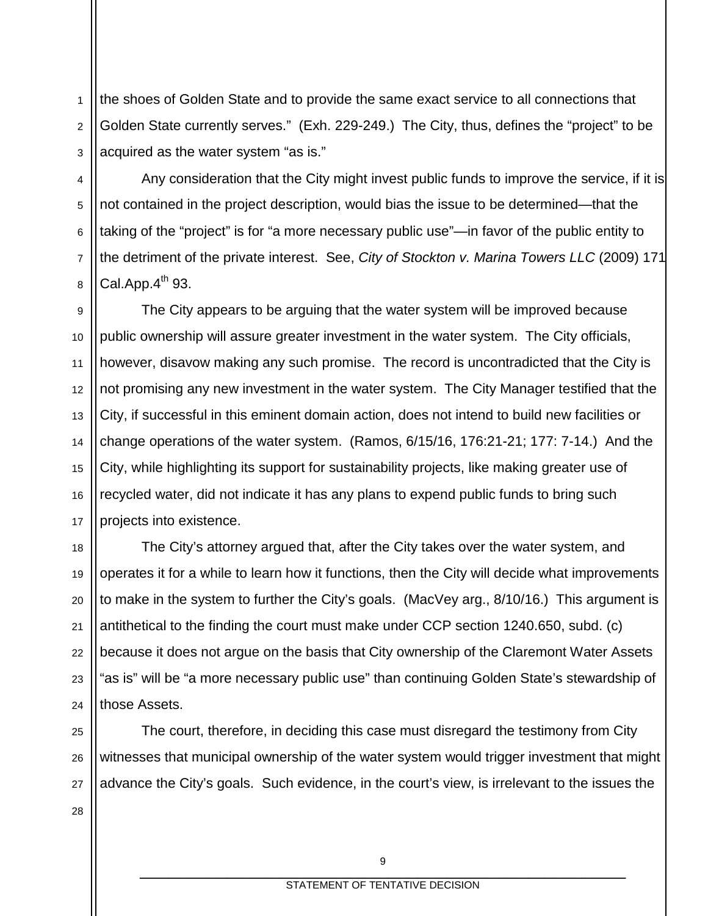1 2 3 the shoes of Golden State and to provide the same exact service to all connections that Golden State currently serves." (Exh. 229-249.) The City, thus, defines the "project" to be acquired as the water system "as is."

4 5 6 7 8 Any consideration that the City might invest public funds to improve the service, if it is not contained in the project description, would bias the issue to be determined—that the taking of the "project" is for "a more necessary public use"—in favor of the public entity to the detriment of the private interest. See, *City of Stockton v. Marina Towers LLC* (2009) 171 Cal.App. $4^{th}$  93.

9 10 11 12 13 14 15 16 17 The City appears to be arguing that the water system will be improved because public ownership will assure greater investment in the water system. The City officials, however, disavow making any such promise. The record is uncontradicted that the City is not promising any new investment in the water system. The City Manager testified that the City, if successful in this eminent domain action, does not intend to build new facilities or change operations of the water system. (Ramos, 6/15/16, 176:21-21; 177: 7-14.) And the City, while highlighting its support for sustainability projects, like making greater use of recycled water, did not indicate it has any plans to expend public funds to bring such projects into existence.

18 19 20 21 22 23 24 The City's attorney argued that, after the City takes over the water system, and operates it for a while to learn how it functions, then the City will decide what improvements to make in the system to further the City's goals. (MacVey arg., 8/10/16.) This argument is antithetical to the finding the court must make under CCP section 1240.650, subd. (c) because it does not argue on the basis that City ownership of the Claremont Water Assets "as is" will be "a more necessary public use" than continuing Golden State's stewardship of those Assets.

25 26 27 The court, therefore, in deciding this case must disregard the testimony from City witnesses that municipal ownership of the water system would trigger investment that might advance the City's goals. Such evidence, in the court's view, is irrelevant to the issues the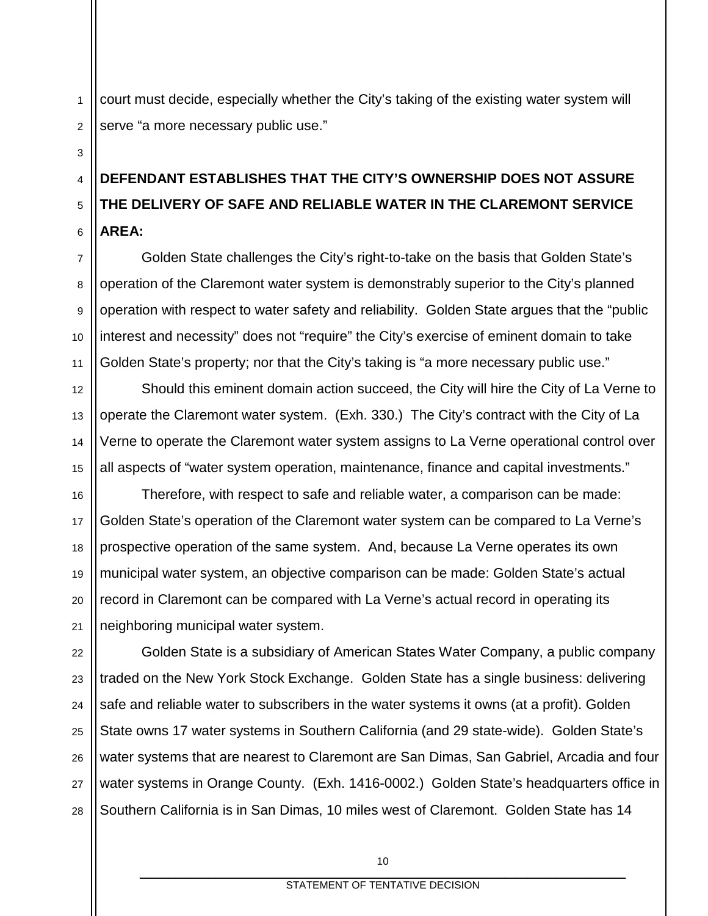1 2 court must decide, especially whether the City's taking of the existing water system will serve "a more necessary public use."

#### 4 5 6 **DEFENDANT ESTABLISHES THAT THE CITY'S OWNERSHIP DOES NOT ASSURE THE DELIVERY OF SAFE AND RELIABLE WATER IN THE CLAREMONT SERVICE AREA:**

7 Golden State challenges the City's right-to-take on the basis that Golden State's operation of the Claremont water system is demonstrably superior to the City's planned operation with respect to water safety and reliability. Golden State argues that the "public interest and necessity" does not "require" the City's exercise of eminent domain to take Golden State's property; nor that the City's taking is "a more necessary public use."

Should this eminent domain action succeed, the City will hire the City of La Verne to operate the Claremont water system. (Exh. 330.) The City's contract with the City of La Verne to operate the Claremont water system assigns to La Verne operational control over all aspects of "water system operation, maintenance, finance and capital investments."

Therefore, with respect to safe and reliable water, a comparison can be made: Golden State's operation of the Claremont water system can be compared to La Verne's prospective operation of the same system. And, because La Verne operates its own municipal water system, an objective comparison can be made: Golden State's actual record in Claremont can be compared with La Verne's actual record in operating its neighboring municipal water system.

27 28 Golden State is a subsidiary of American States Water Company, a public company traded on the New York Stock Exchange. Golden State has a single business: delivering safe and reliable water to subscribers in the water systems it owns (at a profit). Golden State owns 17 water systems in Southern California (and 29 state-wide). Golden State's water systems that are nearest to Claremont are San Dimas, San Gabriel, Arcadia and four water systems in Orange County. (Exh. 1416-0002.) Golden State's headquarters office in Southern California is in San Dimas, 10 miles west of Claremont. Golden State has 14

3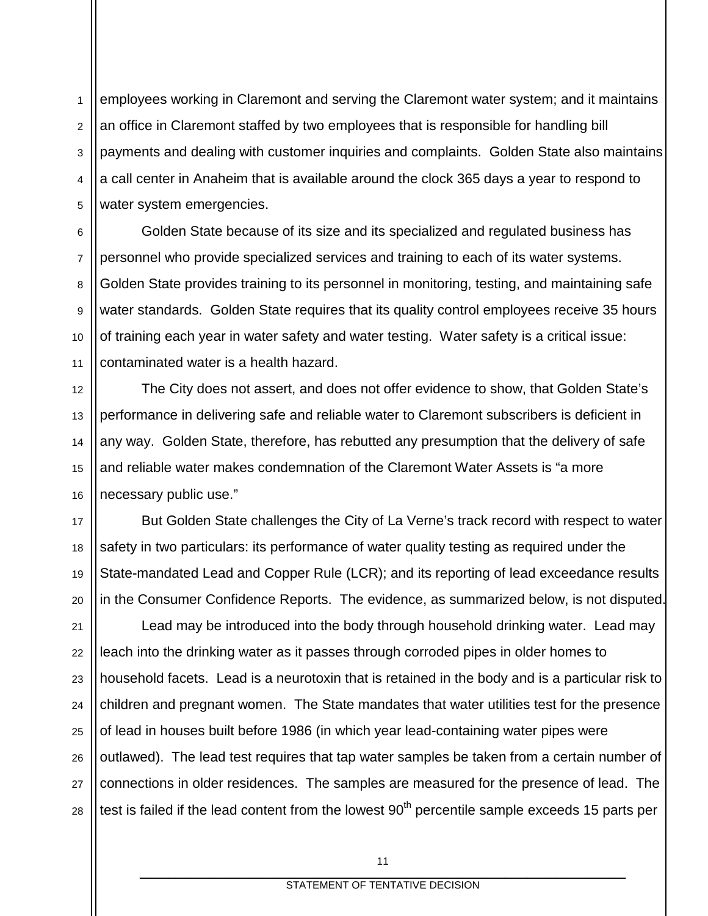1 2 3 4 5 employees working in Claremont and serving the Claremont water system; and it maintains an office in Claremont staffed by two employees that is responsible for handling bill payments and dealing with customer inquiries and complaints. Golden State also maintains a call center in Anaheim that is available around the clock 365 days a year to respond to water system emergencies.

6 7 8 9 10 11 Golden State because of its size and its specialized and regulated business has personnel who provide specialized services and training to each of its water systems. Golden State provides training to its personnel in monitoring, testing, and maintaining safe water standards. Golden State requires that its quality control employees receive 35 hours of training each year in water safety and water testing. Water safety is a critical issue: contaminated water is a health hazard.

12 The City does not assert, and does not offer evidence to show, that Golden State's performance in delivering safe and reliable water to Claremont subscribers is deficient in any way. Golden State, therefore, has rebutted any presumption that the delivery of safe and reliable water makes condemnation of the Claremont Water Assets is "a more necessary public use."

13

14

15

16

17

18

19

20

But Golden State challenges the City of La Verne's track record with respect to water safety in two particulars: its performance of water quality testing as required under the State-mandated Lead and Copper Rule (LCR); and its reporting of lead exceedance results in the Consumer Confidence Reports. The evidence, as summarized below, is not disputed.

21 22 23 24 25 26 27 28 Lead may be introduced into the body through household drinking water. Lead may leach into the drinking water as it passes through corroded pipes in older homes to household facets. Lead is a neurotoxin that is retained in the body and is a particular risk to children and pregnant women. The State mandates that water utilities test for the presence of lead in houses built before 1986 (in which year lead-containing water pipes were outlawed). The lead test requires that tap water samples be taken from a certain number of connections in older residences. The samples are measured for the presence of lead. The test is failed if the lead content from the lowest  $90<sup>th</sup>$  percentile sample exceeds 15 parts per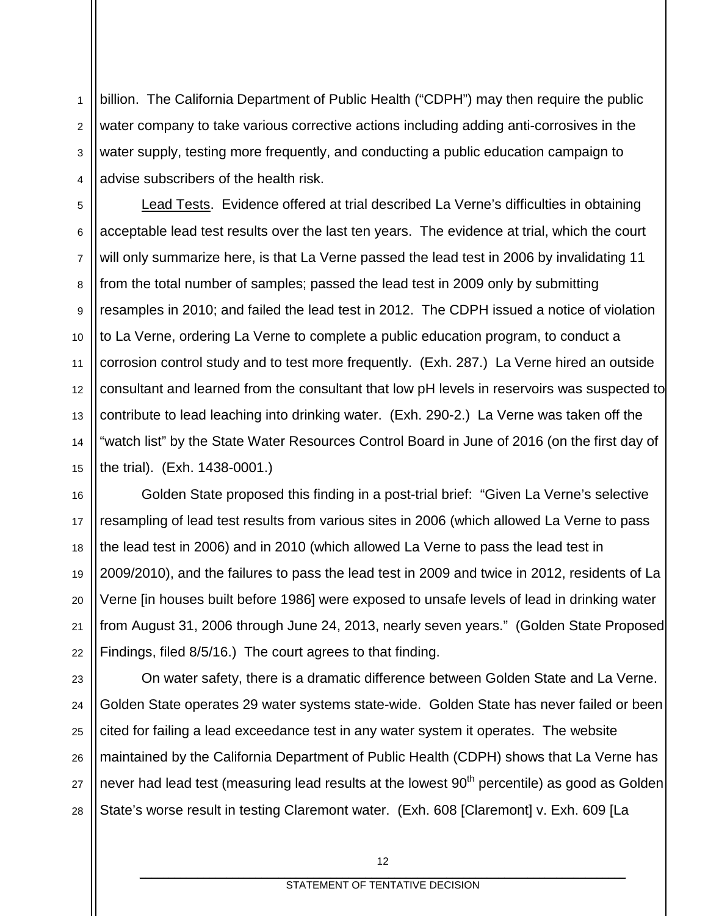1 2 3 4 billion. The California Department of Public Health ("CDPH") may then require the public water company to take various corrective actions including adding anti-corrosives in the water supply, testing more frequently, and conducting a public education campaign to advise subscribers of the health risk.

5 6 7 8 9 10 11 12 13 14 15 Lead Tests. Evidence offered at trial described La Verne's difficulties in obtaining acceptable lead test results over the last ten years. The evidence at trial, which the court will only summarize here, is that La Verne passed the lead test in 2006 by invalidating 11 from the total number of samples; passed the lead test in 2009 only by submitting resamples in 2010; and failed the lead test in 2012. The CDPH issued a notice of violation to La Verne, ordering La Verne to complete a public education program, to conduct a corrosion control study and to test more frequently. (Exh. 287.) La Verne hired an outside consultant and learned from the consultant that low pH levels in reservoirs was suspected to contribute to lead leaching into drinking water. (Exh. 290-2.) La Verne was taken off the "watch list" by the State Water Resources Control Board in June of 2016 (on the first day of the trial). (Exh. 1438-0001.)

16 17 18 19 20 21 22 Golden State proposed this finding in a post-trial brief: "Given La Verne's selective resampling of lead test results from various sites in 2006 (which allowed La Verne to pass the lead test in 2006) and in 2010 (which allowed La Verne to pass the lead test in 2009/2010), and the failures to pass the lead test in 2009 and twice in 2012, residents of La Verne [in houses built before 1986] were exposed to unsafe levels of lead in drinking water from August 31, 2006 through June 24, 2013, nearly seven years." (Golden State Proposed Findings, filed 8/5/16.) The court agrees to that finding.

23 24 25 26 27 28 On water safety, there is a dramatic difference between Golden State and La Verne. Golden State operates 29 water systems state-wide. Golden State has never failed or been cited for failing a lead exceedance test in any water system it operates. The website maintained by the California Department of Public Health (CDPH) shows that La Verne has never had lead test (measuring lead results at the lowest  $90<sup>th</sup>$  percentile) as good as Golden State's worse result in testing Claremont water. (Exh. 608 [Claremont] v. Exh. 609 [La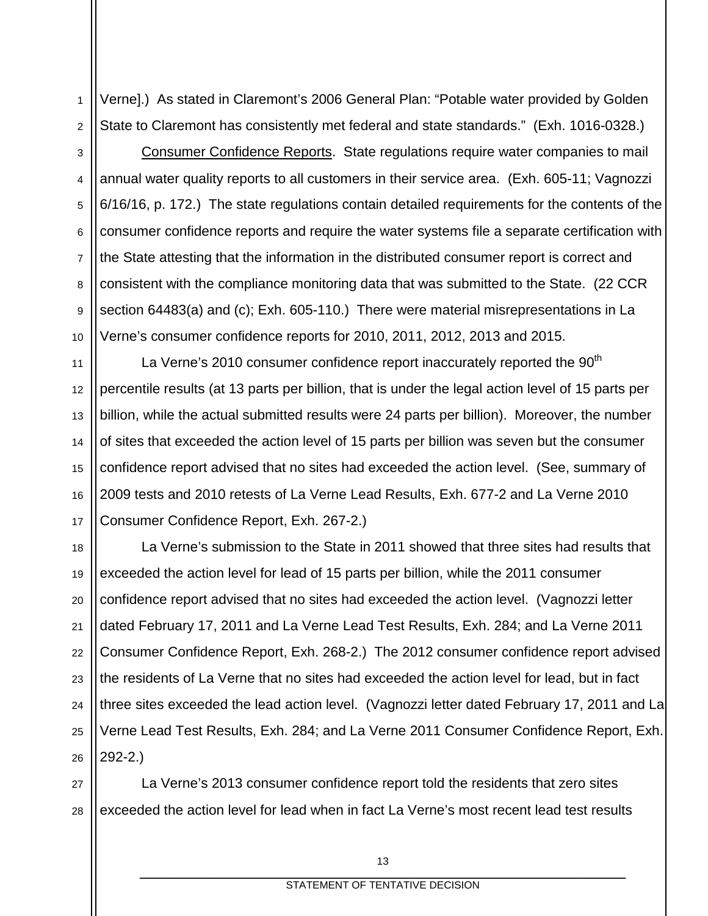1 2 Verne].) As stated in Claremont's 2006 General Plan: "Potable water provided by Golden State to Claremont has consistently met federal and state standards." (Exh. 1016-0328.)

3 4 5 6 7 8 9 10 Consumer Confidence Reports. State regulations require water companies to mail annual water quality reports to all customers in their service area. (Exh. 605-11; Vagnozzi 6/16/16, p. 172.) The state regulations contain detailed requirements for the contents of the consumer confidence reports and require the water systems file a separate certification with the State attesting that the information in the distributed consumer report is correct and consistent with the compliance monitoring data that was submitted to the State. (22 CCR section 64483(a) and (c); Exh. 605-110.) There were material misrepresentations in La Verne's consumer confidence reports for 2010, 2011, 2012, 2013 and 2015.

12 13 14 15 16 17 La Verne's 2010 consumer confidence report inaccurately reported the 90<sup>th</sup> percentile results (at 13 parts per billion, that is under the legal action level of 15 parts per billion, while the actual submitted results were 24 parts per billion). Moreover, the number of sites that exceeded the action level of 15 parts per billion was seven but the consumer confidence report advised that no sites had exceeded the action level. (See, summary of 2009 tests and 2010 retests of La Verne Lead Results, Exh. 677-2 and La Verne 2010 Consumer Confidence Report, Exh. 267-2.)

11

18 19 20 21 22 23 24 25 26 La Verne's submission to the State in 2011 showed that three sites had results that exceeded the action level for lead of 15 parts per billion, while the 2011 consumer confidence report advised that no sites had exceeded the action level. (Vagnozzi letter dated February 17, 2011 and La Verne Lead Test Results, Exh. 284; and La Verne 2011 Consumer Confidence Report, Exh. 268-2.) The 2012 consumer confidence report advised the residents of La Verne that no sites had exceeded the action level for lead, but in fact three sites exceeded the lead action level. (Vagnozzi letter dated February 17, 2011 and La Verne Lead Test Results, Exh. 284; and La Verne 2011 Consumer Confidence Report, Exh. 292-2.)

27 28 La Verne's 2013 consumer confidence report told the residents that zero sites exceeded the action level for lead when in fact La Verne's most recent lead test results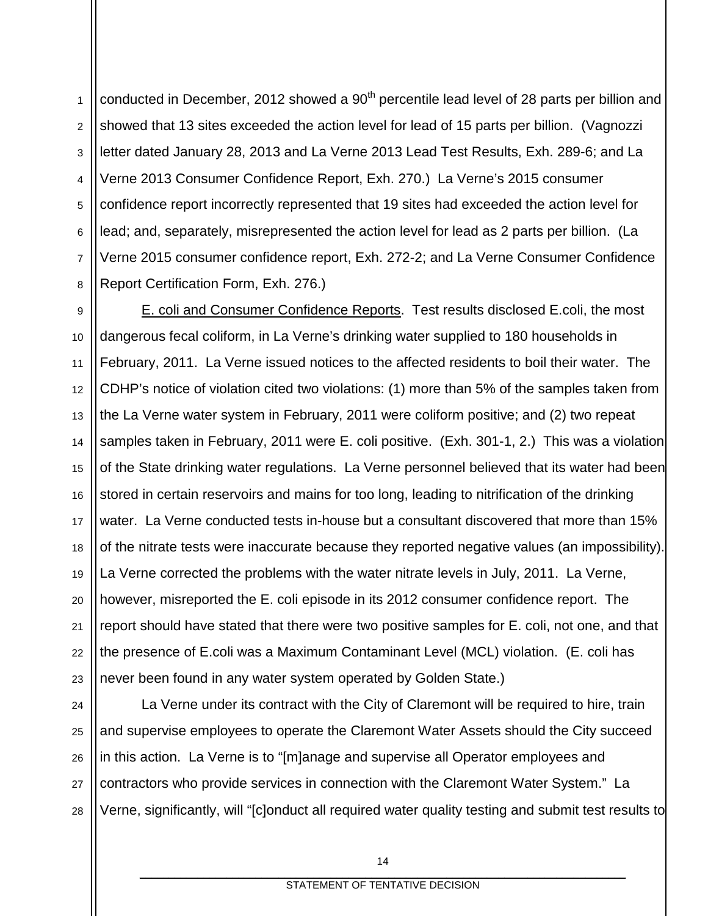1 2 3 4 5 6 7 8 conducted in December, 2012 showed a  $90<sup>th</sup>$  percentile lead level of 28 parts per billion and showed that 13 sites exceeded the action level for lead of 15 parts per billion. (Vagnozzi letter dated January 28, 2013 and La Verne 2013 Lead Test Results, Exh. 289-6; and La Verne 2013 Consumer Confidence Report, Exh. 270.) La Verne's 2015 consumer confidence report incorrectly represented that 19 sites had exceeded the action level for lead; and, separately, misrepresented the action level for lead as 2 parts per billion. (La Verne 2015 consumer confidence report, Exh. 272-2; and La Verne Consumer Confidence Report Certification Form, Exh. 276.)

9 10 11 12 13 14 15 16 17 18 19 20 21 E. coli and Consumer Confidence Reports. Test results disclosed E.coli, the most dangerous fecal coliform, in La Verne's drinking water supplied to 180 households in February, 2011. La Verne issued notices to the affected residents to boil their water. The CDHP's notice of violation cited two violations: (1) more than 5% of the samples taken from the La Verne water system in February, 2011 were coliform positive; and (2) two repeat samples taken in February, 2011 were E. coli positive. (Exh. 301-1, 2.) This was a violation of the State drinking water regulations. La Verne personnel believed that its water had been stored in certain reservoirs and mains for too long, leading to nitrification of the drinking water. La Verne conducted tests in-house but a consultant discovered that more than 15% of the nitrate tests were inaccurate because they reported negative values (an impossibility). La Verne corrected the problems with the water nitrate levels in July, 2011. La Verne, however, misreported the E. coli episode in its 2012 consumer confidence report. The report should have stated that there were two positive samples for E. coli, not one, and that the presence of E.coli was a Maximum Contaminant Level (MCL) violation. (E. coli has never been found in any water system operated by Golden State.)

28

La Verne under its contract with the City of Claremont will be required to hire, train and supervise employees to operate the Claremont Water Assets should the City succeed in this action. La Verne is to "[m]anage and supervise all Operator employees and contractors who provide services in connection with the Claremont Water System." La Verne, significantly, will "[c]onduct all required water quality testing and submit test results to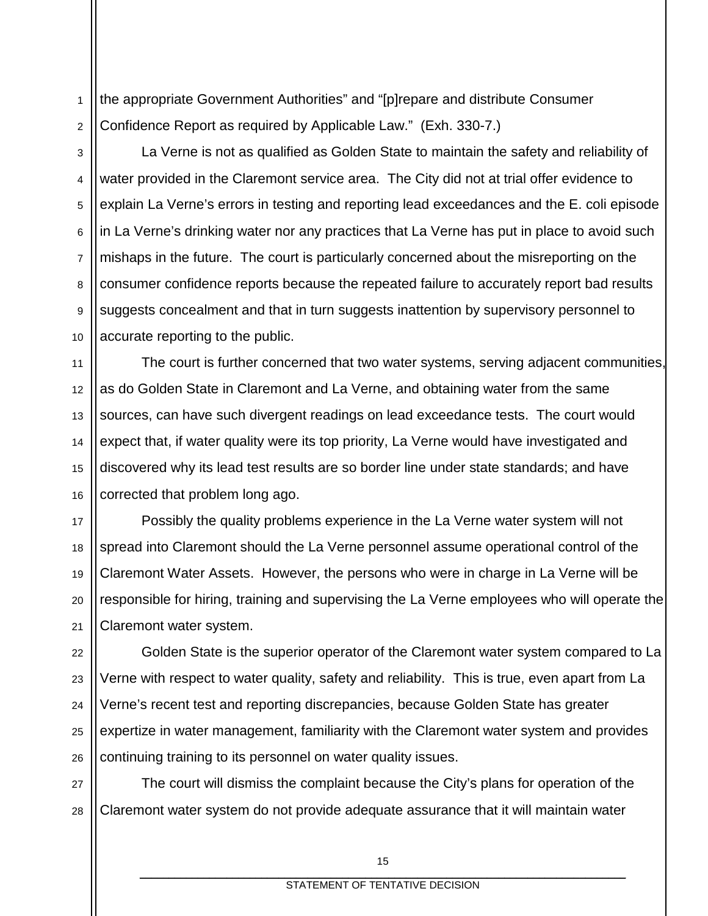1 2 the appropriate Government Authorities" and "[p]repare and distribute Consumer Confidence Report as required by Applicable Law." (Exh. 330-7.)

3

4

5

6

7

8

9

10

11

14

15

16

La Verne is not as qualified as Golden State to maintain the safety and reliability of water provided in the Claremont service area. The City did not at trial offer evidence to explain La Verne's errors in testing and reporting lead exceedances and the E. coli episode in La Verne's drinking water nor any practices that La Verne has put in place to avoid such mishaps in the future. The court is particularly concerned about the misreporting on the consumer confidence reports because the repeated failure to accurately report bad results suggests concealment and that in turn suggests inattention by supervisory personnel to accurate reporting to the public.

12 13 The court is further concerned that two water systems, serving adjacent communities, as do Golden State in Claremont and La Verne, and obtaining water from the same sources, can have such divergent readings on lead exceedance tests. The court would expect that, if water quality were its top priority, La Verne would have investigated and discovered why its lead test results are so border line under state standards; and have corrected that problem long ago.

17 18 19 20 21 Possibly the quality problems experience in the La Verne water system will not spread into Claremont should the La Verne personnel assume operational control of the Claremont Water Assets. However, the persons who were in charge in La Verne will be responsible for hiring, training and supervising the La Verne employees who will operate the Claremont water system.

22 23 24 25 26 Golden State is the superior operator of the Claremont water system compared to La Verne with respect to water quality, safety and reliability. This is true, even apart from La Verne's recent test and reporting discrepancies, because Golden State has greater expertize in water management, familiarity with the Claremont water system and provides continuing training to its personnel on water quality issues.

27 28 The court will dismiss the complaint because the City's plans for operation of the Claremont water system do not provide adequate assurance that it will maintain water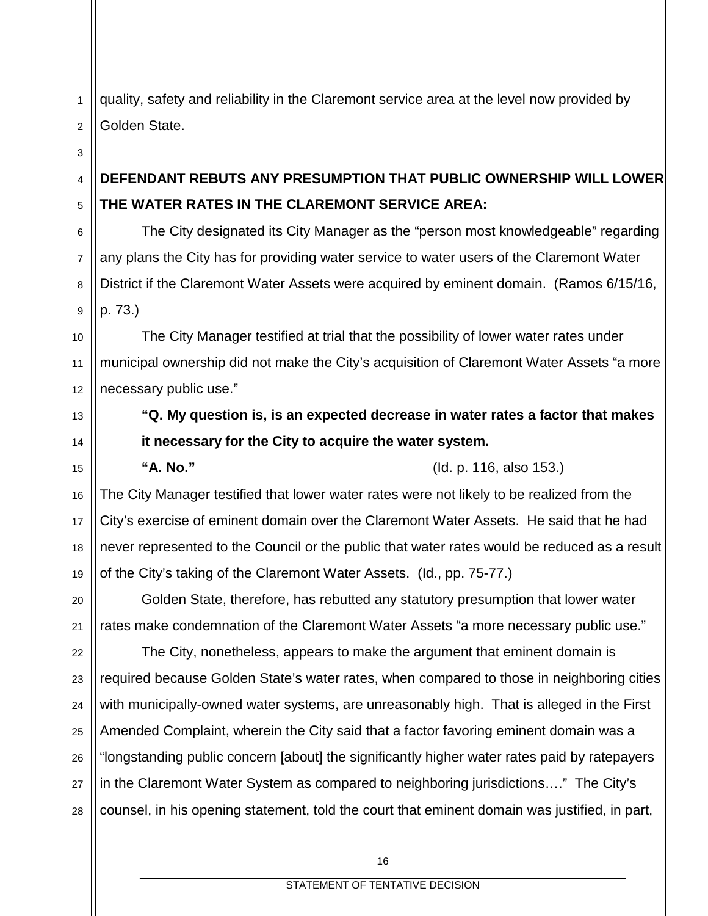quality, safety and reliability in the Claremont service area at the level now provided by Golden State.

# **DEFENDANT REBUTS ANY PRESUMPTION THAT PUBLIC OWNERSHIP WILL LOWER THE WATER RATES IN THE CLAREMONT SERVICE AREA:**

The City designated its City Manager as the "person most knowledgeable" regarding any plans the City has for providing water service to water users of the Claremont Water District if the Claremont Water Assets were acquired by eminent domain. (Ramos 6/15/16, p. 73.)

10 11 12 The City Manager testified at trial that the possibility of lower water rates under municipal ownership did not make the City's acquisition of Claremont Water Assets "a more necessary public use."

> **"Q. My question is, is an expected decrease in water rates a factor that makes it necessary for the City to acquire the water system.**

**"A. No."** (Id. p. 116, also 153.)

16 17 18 19 The City Manager testified that lower water rates were not likely to be realized from the City's exercise of eminent domain over the Claremont Water Assets. He said that he had never represented to the Council or the public that water rates would be reduced as a result of the City's taking of the Claremont Water Assets. (Id., pp. 75-77.)

Golden State, therefore, has rebutted any statutory presumption that lower water rates make condemnation of the Claremont Water Assets "a more necessary public use."

22 23 24 25 26 27 28 The City, nonetheless, appears to make the argument that eminent domain is required because Golden State's water rates, when compared to those in neighboring cities with municipally-owned water systems, are unreasonably high. That is alleged in the First Amended Complaint, wherein the City said that a factor favoring eminent domain was a "longstanding public concern [about] the significantly higher water rates paid by ratepayers in the Claremont Water System as compared to neighboring jurisdictions…." The City's counsel, in his opening statement, told the court that eminent domain was justified, in part,

2 3

4

5

6

7

8

9

13

14

15

20

21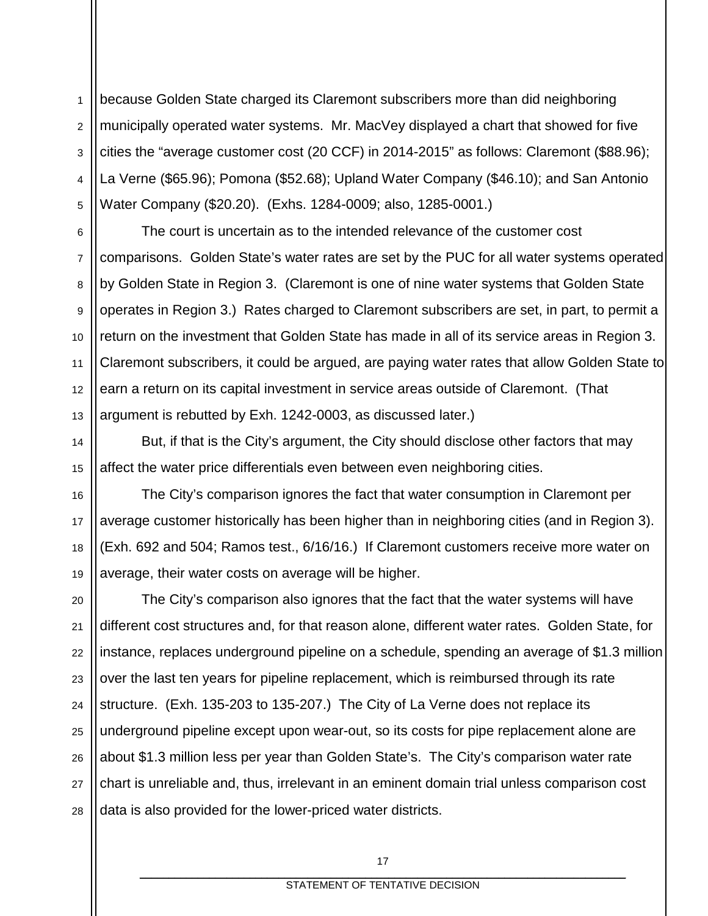1 2 3 4 5 because Golden State charged its Claremont subscribers more than did neighboring municipally operated water systems. Mr. MacVey displayed a chart that showed for five cities the "average customer cost (20 CCF) in 2014-2015" as follows: Claremont (\$88.96); La Verne (\$65.96); Pomona (\$52.68); Upland Water Company (\$46.10); and San Antonio Water Company (\$20.20). (Exhs. 1284-0009; also, 1285-0001.)

6 7 8 9 10 11 12 13 The court is uncertain as to the intended relevance of the customer cost comparisons. Golden State's water rates are set by the PUC for all water systems operated by Golden State in Region 3. (Claremont is one of nine water systems that Golden State operates in Region 3.) Rates charged to Claremont subscribers are set, in part, to permit a return on the investment that Golden State has made in all of its service areas in Region 3. Claremont subscribers, it could be argued, are paying water rates that allow Golden State to earn a return on its capital investment in service areas outside of Claremont. (That argument is rebutted by Exh. 1242-0003, as discussed later.)

But, if that is the City's argument, the City should disclose other factors that may affect the water price differentials even between even neighboring cities.

14

15

16 17 18 19 The City's comparison ignores the fact that water consumption in Claremont per average customer historically has been higher than in neighboring cities (and in Region 3). (Exh. 692 and 504; Ramos test., 6/16/16.) If Claremont customers receive more water on average, their water costs on average will be higher.

20 21 22 23 24 25 26 27 28 The City's comparison also ignores that the fact that the water systems will have different cost structures and, for that reason alone, different water rates. Golden State, for instance, replaces underground pipeline on a schedule, spending an average of \$1.3 million over the last ten years for pipeline replacement, which is reimbursed through its rate structure. (Exh. 135-203 to 135-207.) The City of La Verne does not replace its underground pipeline except upon wear-out, so its costs for pipe replacement alone are about \$1.3 million less per year than Golden State's. The City's comparison water rate chart is unreliable and, thus, irrelevant in an eminent domain trial unless comparison cost data is also provided for the lower-priced water districts.

> 17 \_\_\_\_\_\_\_\_\_\_\_\_\_\_\_\_\_\_\_\_\_\_\_\_\_\_\_\_\_\_\_\_\_\_\_\_\_\_\_\_\_\_\_\_\_\_\_\_\_\_\_\_\_\_\_\_\_\_\_\_\_\_\_\_\_\_\_\_\_\_\_\_\_\_\_\_\_\_\_\_\_\_\_\_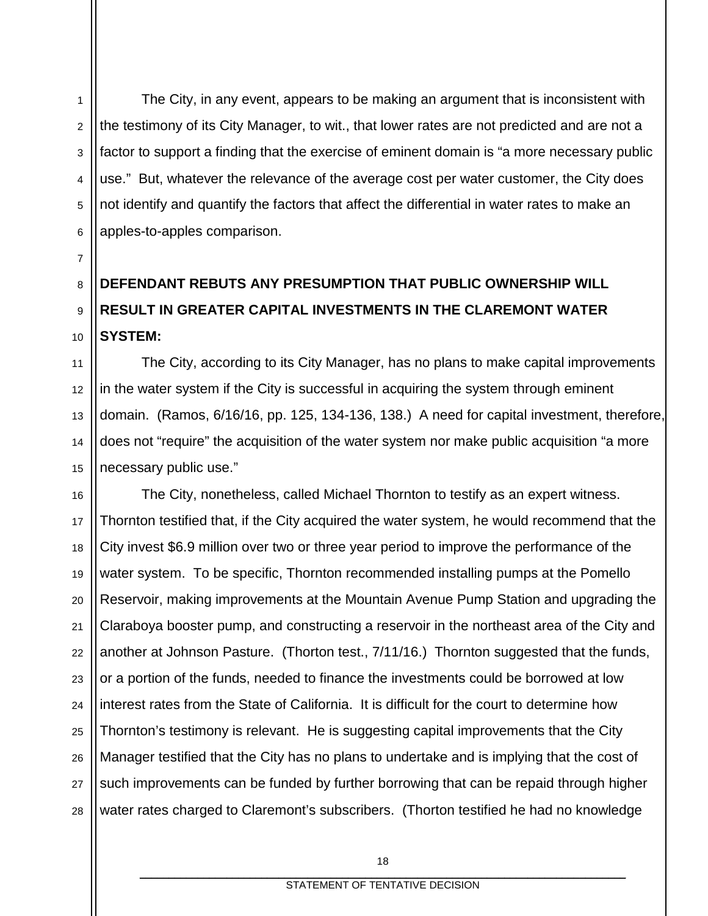1 2 3 4 5 6 The City, in any event, appears to be making an argument that is inconsistent with the testimony of its City Manager, to wit., that lower rates are not predicted and are not a factor to support a finding that the exercise of eminent domain is "a more necessary public use." But, whatever the relevance of the average cost per water customer, the City does not identify and quantify the factors that affect the differential in water rates to make an apples-to-apples comparison.

#### 8 9 10 **DEFENDANT REBUTS ANY PRESUMPTION THAT PUBLIC OWNERSHIP WILL RESULT IN GREATER CAPITAL INVESTMENTS IN THE CLAREMONT WATER SYSTEM:**

7

11

12

13

14

15

The City, according to its City Manager, has no plans to make capital improvements in the water system if the City is successful in acquiring the system through eminent domain. (Ramos, 6/16/16, pp. 125, 134-136, 138.) A need for capital investment, therefore, does not "require" the acquisition of the water system nor make public acquisition "a more necessary public use."

16 17 18 19 20 21 22 23 24 25 26 27 28 The City, nonetheless, called Michael Thornton to testify as an expert witness. Thornton testified that, if the City acquired the water system, he would recommend that the City invest \$6.9 million over two or three year period to improve the performance of the water system. To be specific, Thornton recommended installing pumps at the Pomello Reservoir, making improvements at the Mountain Avenue Pump Station and upgrading the Claraboya booster pump, and constructing a reservoir in the northeast area of the City and another at Johnson Pasture. (Thorton test., 7/11/16.) Thornton suggested that the funds, or a portion of the funds, needed to finance the investments could be borrowed at low interest rates from the State of California. It is difficult for the court to determine how Thornton's testimony is relevant. He is suggesting capital improvements that the City Manager testified that the City has no plans to undertake and is implying that the cost of such improvements can be funded by further borrowing that can be repaid through higher water rates charged to Claremont's subscribers. (Thorton testified he had no knowledge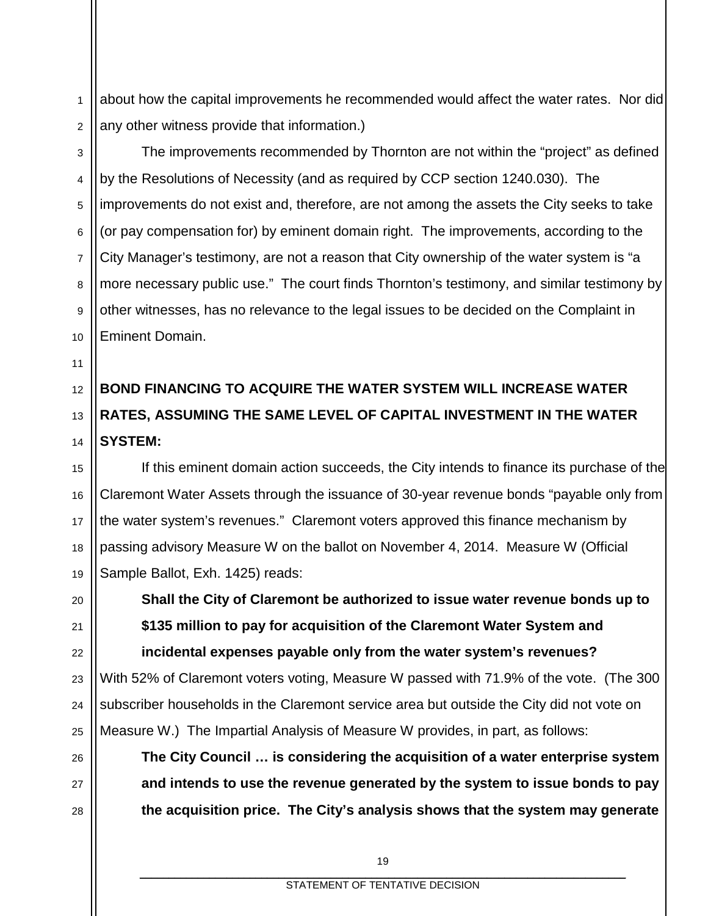1 2 about how the capital improvements he recommended would affect the water rates. Nor did any other witness provide that information.)

3 4 5 6 7 8 9 10 The improvements recommended by Thornton are not within the "project" as defined by the Resolutions of Necessity (and as required by CCP section 1240.030). The improvements do not exist and, therefore, are not among the assets the City seeks to take (or pay compensation for) by eminent domain right. The improvements, according to the City Manager's testimony, are not a reason that City ownership of the water system is "a more necessary public use." The court finds Thornton's testimony, and similar testimony by other witnesses, has no relevance to the legal issues to be decided on the Complaint in Eminent Domain.

#### 12 13 14 **BOND FINANCING TO ACQUIRE THE WATER SYSTEM WILL INCREASE WATER RATES, ASSUMING THE SAME LEVEL OF CAPITAL INVESTMENT IN THE WATER SYSTEM:**

11

16

17

18

19

20

21

22

23

24

25

26

27

28

15 If this eminent domain action succeeds, the City intends to finance its purchase of the Claremont Water Assets through the issuance of 30-year revenue bonds "payable only from the water system's revenues." Claremont voters approved this finance mechanism by passing advisory Measure W on the ballot on November 4, 2014. Measure W (Official Sample Ballot, Exh. 1425) reads:

**Shall the City of Claremont be authorized to issue water revenue bonds up to \$135 million to pay for acquisition of the Claremont Water System and incidental expenses payable only from the water system's revenues?** With 52% of Claremont voters voting, Measure W passed with 71.9% of the vote. (The 300 subscriber households in the Claremont service area but outside the City did not vote on Measure W.) The Impartial Analysis of Measure W provides, in part, as follows:

**The City Council … is considering the acquisition of a water enterprise system and intends to use the revenue generated by the system to issue bonds to pay the acquisition price. The City's analysis shows that the system may generate**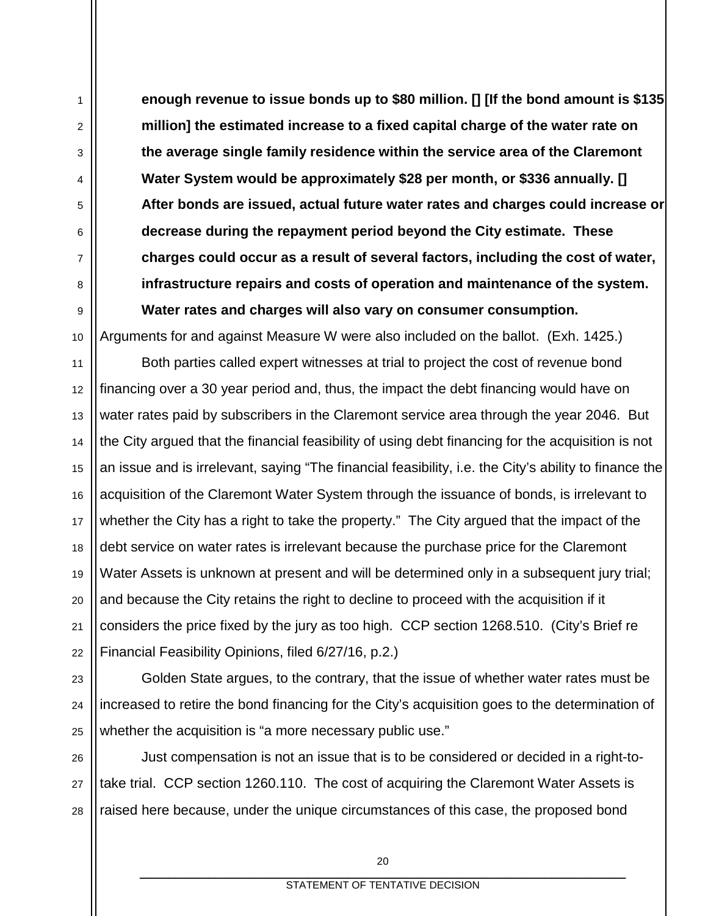**enough revenue to issue bonds up to \$80 million. [] [If the bond amount is \$135 million] the estimated increase to a fixed capital charge of the water rate on the average single family residence within the service area of the Claremont Water System would be approximately \$28 per month, or \$336 annually. [] After bonds are issued, actual future water rates and charges could increase or decrease during the repayment period beyond the City estimate. These charges could occur as a result of several factors, including the cost of water, infrastructure repairs and costs of operation and maintenance of the system. Water rates and charges will also vary on consumer consumption.**

Arguments for and against Measure W were also included on the ballot. (Exh. 1425.)

1

2

3

4

5

6

7

8

9

10

11 12 13 14 15 16 17 18 19 20 21 22 Both parties called expert witnesses at trial to project the cost of revenue bond financing over a 30 year period and, thus, the impact the debt financing would have on water rates paid by subscribers in the Claremont service area through the year 2046. But the City argued that the financial feasibility of using debt financing for the acquisition is not an issue and is irrelevant, saying "The financial feasibility, i.e. the City's ability to finance the acquisition of the Claremont Water System through the issuance of bonds, is irrelevant to whether the City has a right to take the property." The City argued that the impact of the debt service on water rates is irrelevant because the purchase price for the Claremont Water Assets is unknown at present and will be determined only in a subsequent jury trial; and because the City retains the right to decline to proceed with the acquisition if it considers the price fixed by the jury as too high. CCP section 1268.510. (City's Brief re Financial Feasibility Opinions, filed 6/27/16, p.2.)

23 24 25 Golden State argues, to the contrary, that the issue of whether water rates must be increased to retire the bond financing for the City's acquisition goes to the determination of whether the acquisition is "a more necessary public use."

26 27 28 Just compensation is not an issue that is to be considered or decided in a right-totake trial. CCP section 1260.110. The cost of acquiring the Claremont Water Assets is raised here because, under the unique circumstances of this case, the proposed bond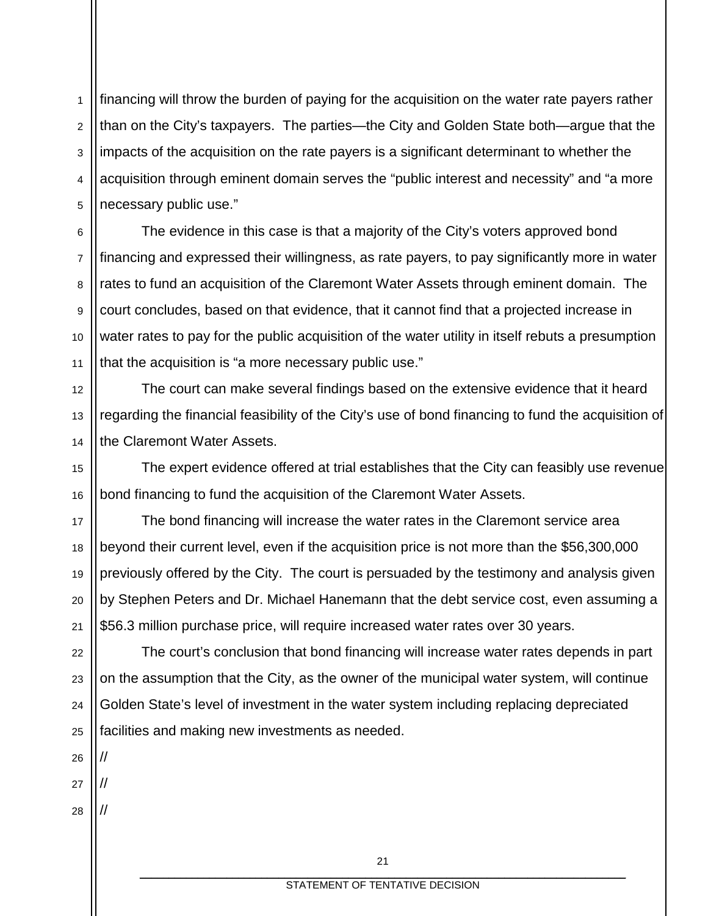1 2 3 4 5 financing will throw the burden of paying for the acquisition on the water rate payers rather than on the City's taxpayers. The parties—the City and Golden State both—argue that the impacts of the acquisition on the rate payers is a significant determinant to whether the acquisition through eminent domain serves the "public interest and necessity" and "a more necessary public use."

6 7 8 9 10 11 The evidence in this case is that a majority of the City's voters approved bond financing and expressed their willingness, as rate payers, to pay significantly more in water rates to fund an acquisition of the Claremont Water Assets through eminent domain. The court concludes, based on that evidence, that it cannot find that a projected increase in water rates to pay for the public acquisition of the water utility in itself rebuts a presumption that the acquisition is "a more necessary public use."

The court can make several findings based on the extensive evidence that it heard regarding the financial feasibility of the City's use of bond financing to fund the acquisition of the Claremont Water Assets.

The expert evidence offered at trial establishes that the City can feasibly use revenue bond financing to fund the acquisition of the Claremont Water Assets.

17 18 19 20 21 The bond financing will increase the water rates in the Claremont service area beyond their current level, even if the acquisition price is not more than the \$56,300,000 previously offered by the City. The court is persuaded by the testimony and analysis given by Stephen Peters and Dr. Michael Hanemann that the debt service cost, even assuming a \$56.3 million purchase price, will require increased water rates over 30 years.

22 23 24 25 The court's conclusion that bond financing will increase water rates depends in part on the assumption that the City, as the owner of the municipal water system, will continue Golden State's level of investment in the water system including replacing depreciated facilities and making new investments as needed.

26 27

//

//

//

12

13

14

15

16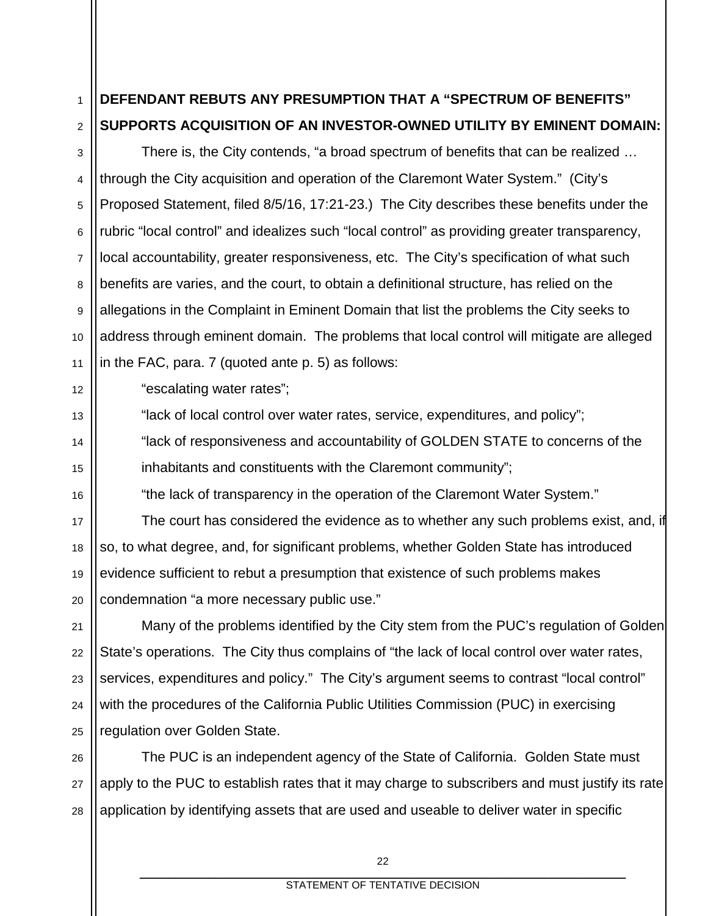#### 1 2 **DEFENDANT REBUTS ANY PRESUMPTION THAT A "SPECTRUM OF BENEFITS" SUPPORTS ACQUISITION OF AN INVESTOR-OWNED UTILITY BY EMINENT DOMAIN:**

3 4 5 6 7 8 9 10 11 There is, the City contends, "a broad spectrum of benefits that can be realized … through the City acquisition and operation of the Claremont Water System." (City's Proposed Statement, filed 8/5/16, 17:21-23.) The City describes these benefits under the rubric "local control" and idealizes such "local control" as providing greater transparency, local accountability, greater responsiveness, etc. The City's specification of what such benefits are varies, and the court, to obtain a definitional structure, has relied on the allegations in the Complaint in Eminent Domain that list the problems the City seeks to address through eminent domain. The problems that local control will mitigate are alleged in the FAC, para. 7 (quoted ante p. 5) as follows:

"escalating water rates";

12

13

14

15

16

17

18

19

20

21

22

23

24

"lack of local control over water rates, service, expenditures, and policy";

"lack of responsiveness and accountability of GOLDEN STATE to concerns of the inhabitants and constituents with the Claremont community";

"the lack of transparency in the operation of the Claremont Water System."

The court has considered the evidence as to whether any such problems exist, and, if so, to what degree, and, for significant problems, whether Golden State has introduced evidence sufficient to rebut a presumption that existence of such problems makes condemnation "a more necessary public use."

25 Many of the problems identified by the City stem from the PUC's regulation of Golden State's operations. The City thus complains of "the lack of local control over water rates, services, expenditures and policy." The City's argument seems to contrast "local control" with the procedures of the California Public Utilities Commission (PUC) in exercising regulation over Golden State.

26 27 28 The PUC is an independent agency of the State of California. Golden State must apply to the PUC to establish rates that it may charge to subscribers and must justify its rate application by identifying assets that are used and useable to deliver water in specific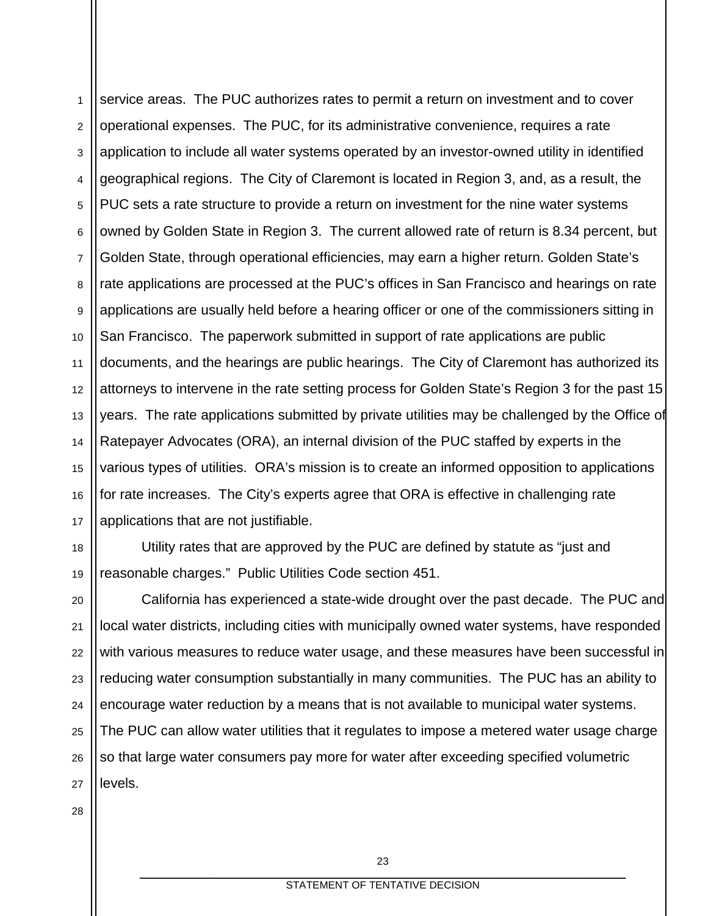1 2 3 4 5 6 7 8 9 10 11 12 13 14 15 16 17 service areas. The PUC authorizes rates to permit a return on investment and to cover operational expenses. The PUC, for its administrative convenience, requires a rate application to include all water systems operated by an investor-owned utility in identified geographical regions. The City of Claremont is located in Region 3, and, as a result, the PUC sets a rate structure to provide a return on investment for the nine water systems owned by Golden State in Region 3. The current allowed rate of return is 8.34 percent, but Golden State, through operational efficiencies, may earn a higher return. Golden State's rate applications are processed at the PUC's offices in San Francisco and hearings on rate applications are usually held before a hearing officer or one of the commissioners sitting in San Francisco. The paperwork submitted in support of rate applications are public documents, and the hearings are public hearings. The City of Claremont has authorized its attorneys to intervene in the rate setting process for Golden State's Region 3 for the past 15 years. The rate applications submitted by private utilities may be challenged by the Office of Ratepayer Advocates (ORA), an internal division of the PUC staffed by experts in the various types of utilities. ORA's mission is to create an informed opposition to applications for rate increases. The City's experts agree that ORA is effective in challenging rate applications that are not justifiable.

18 19 Utility rates that are approved by the PUC are defined by statute as "just and reasonable charges." Public Utilities Code section 451.

20 21 22 23 24 25 26 27 California has experienced a state-wide drought over the past decade. The PUC and local water districts, including cities with municipally owned water systems, have responded with various measures to reduce water usage, and these measures have been successful in reducing water consumption substantially in many communities. The PUC has an ability to encourage water reduction by a means that is not available to municipal water systems. The PUC can allow water utilities that it regulates to impose a metered water usage charge so that large water consumers pay more for water after exceeding specified volumetric levels.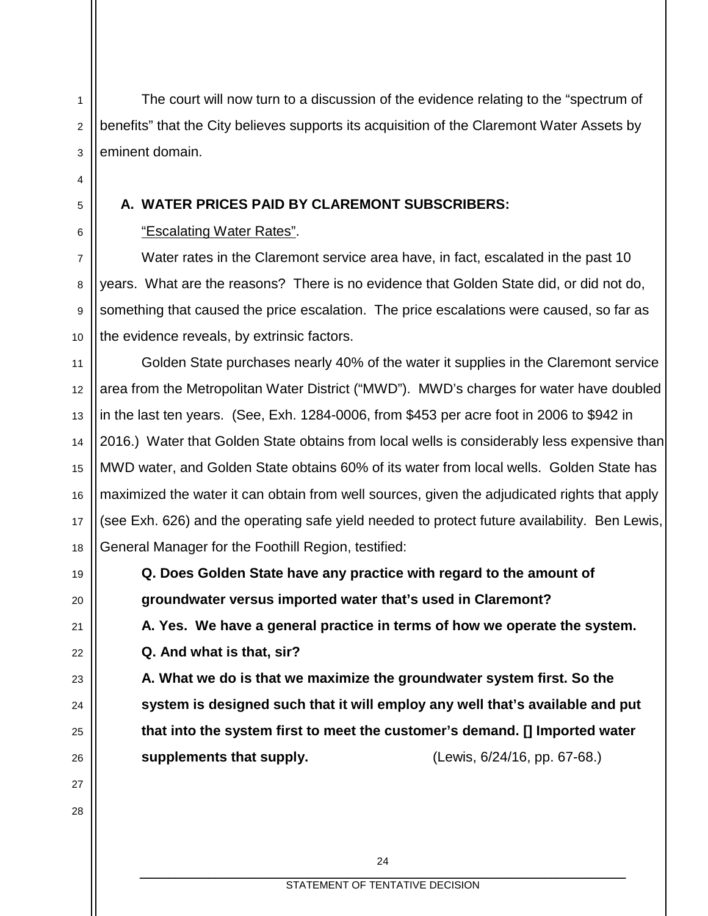The court will now turn to a discussion of the evidence relating to the "spectrum of benefits" that the City believes supports its acquisition of the Claremont Water Assets by eminent domain.

### **A. WATER PRICES PAID BY CLAREMONT SUBSCRIBERS:**

### "Escalating Water Rates".

Water rates in the Claremont service area have, in fact, escalated in the past 10 years. What are the reasons? There is no evidence that Golden State did, or did not do, something that caused the price escalation. The price escalations were caused, so far as the evidence reveals, by extrinsic factors.

11 12 13 14 15 16 17 18 Golden State purchases nearly 40% of the water it supplies in the Claremont service area from the Metropolitan Water District ("MWD"). MWD's charges for water have doubled in the last ten years. (See, Exh. 1284-0006, from \$453 per acre foot in 2006 to \$942 in 2016.) Water that Golden State obtains from local wells is considerably less expensive than MWD water, and Golden State obtains 60% of its water from local wells. Golden State has maximized the water it can obtain from well sources, given the adjudicated rights that apply (see Exh. 626) and the operating safe yield needed to protect future availability. Ben Lewis, General Manager for the Foothill Region, testified:

> **Q. Does Golden State have any practice with regard to the amount of groundwater versus imported water that's used in Claremont?**

**A. Yes. We have a general practice in terms of how we operate the system. Q. And what is that, sir?**

**A. What we do is that we maximize the groundwater system first. So the system is designed such that it will employ any well that's available and put that into the system first to meet the customer's demand. [] Imported water supplements that supply.** (Lewis, 6/24/16, pp. 67-68.)

19

20

21

22

23

 $24$ 

25

26

27

28

1

2

3

4

5

6

7

8

9

10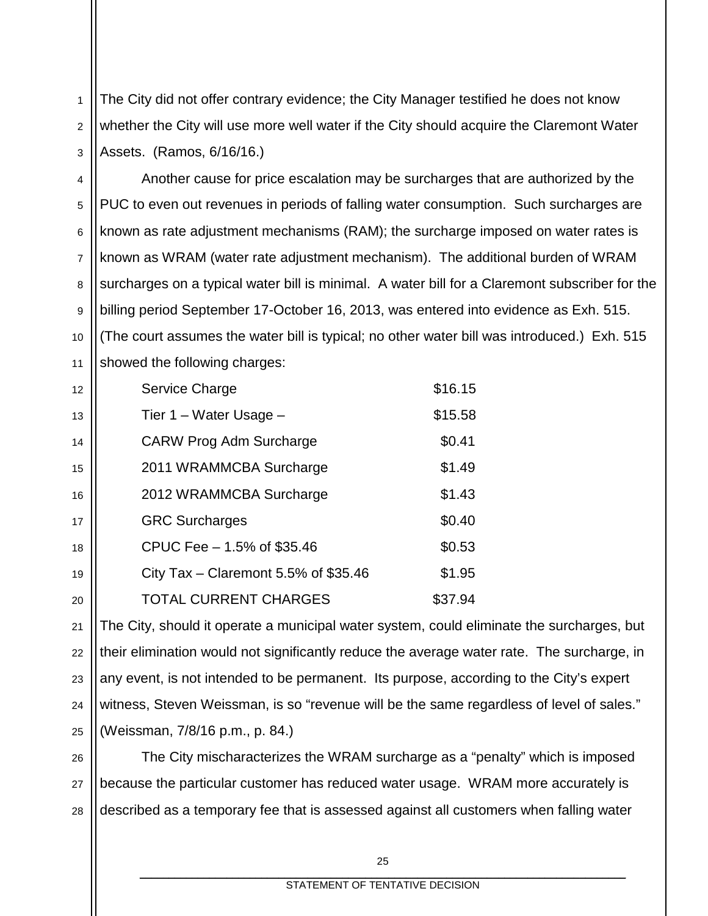1 2 3 The City did not offer contrary evidence; the City Manager testified he does not know whether the City will use more well water if the City should acquire the Claremont Water Assets. (Ramos, 6/16/16.)

4 5 6 7 8 9 10 11 Another cause for price escalation may be surcharges that are authorized by the PUC to even out revenues in periods of falling water consumption. Such surcharges are known as rate adjustment mechanisms (RAM); the surcharge imposed on water rates is known as WRAM (water rate adjustment mechanism). The additional burden of WRAM surcharges on a typical water bill is minimal. A water bill for a Claremont subscriber for the billing period September 17-October 16, 2013, was entered into evidence as Exh. 515. (The court assumes the water bill is typical; no other water bill was introduced.) Exh. 515 showed the following charges:

| Service Charge                       | \$16.15 |
|--------------------------------------|---------|
| Tier 1 - Water Usage -               | \$15.58 |
| <b>CARW Prog Adm Surcharge</b>       | \$0.41  |
| 2011 WRAMMCBA Surcharge              | \$1.49  |
| 2012 WRAMMCBA Surcharge              | \$1.43  |
| <b>GRC Surcharges</b>                | \$0.40  |
| CPUC Fee – 1.5% of \$35.46           | \$0.53  |
| City Tax – Claremont 5.5% of \$35.46 | \$1.95  |
| <b>TOTAL CURRENT CHARGES</b>         | \$37.94 |

12

13

14

15

16

17

18

19

20

21 22 23 24 25 The City, should it operate a municipal water system, could eliminate the surcharges, but their elimination would not significantly reduce the average water rate. The surcharge, in any event, is not intended to be permanent. Its purpose, according to the City's expert witness, Steven Weissman, is so "revenue will be the same regardless of level of sales." (Weissman, 7/8/16 p.m., p. 84.)

26 27 28 The City mischaracterizes the WRAM surcharge as a "penalty" which is imposed because the particular customer has reduced water usage. WRAM more accurately is described as a temporary fee that is assessed against all customers when falling water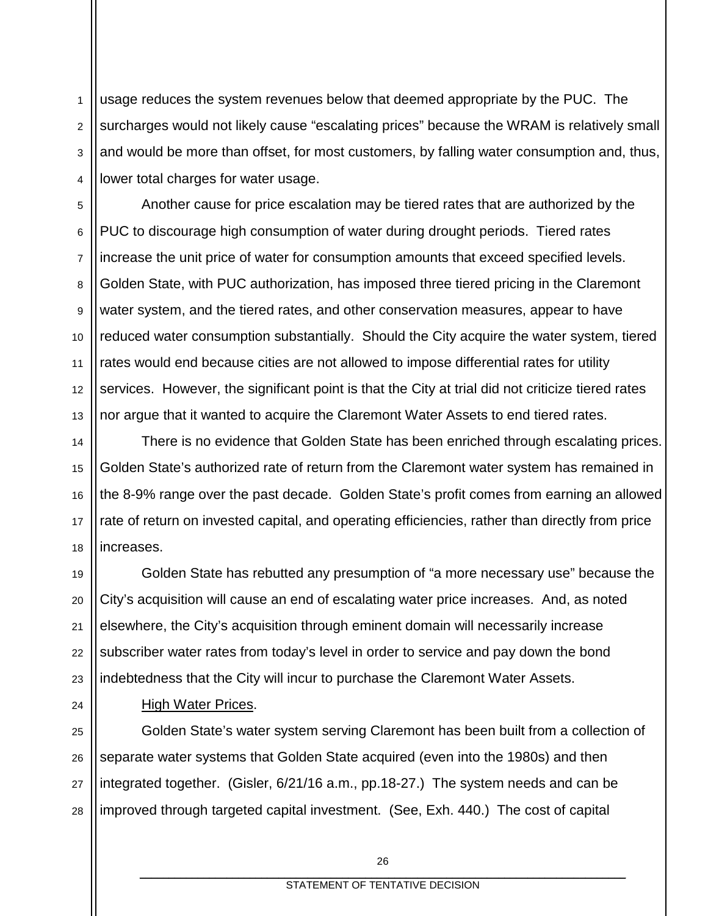1 2 3 4 usage reduces the system revenues below that deemed appropriate by the PUC. The surcharges would not likely cause "escalating prices" because the WRAM is relatively small and would be more than offset, for most customers, by falling water consumption and, thus, lower total charges for water usage.

5 6 7 8 9 10 11 12 13 Another cause for price escalation may be tiered rates that are authorized by the PUC to discourage high consumption of water during drought periods. Tiered rates increase the unit price of water for consumption amounts that exceed specified levels. Golden State, with PUC authorization, has imposed three tiered pricing in the Claremont water system, and the tiered rates, and other conservation measures, appear to have reduced water consumption substantially. Should the City acquire the water system, tiered rates would end because cities are not allowed to impose differential rates for utility services. However, the significant point is that the City at trial did not criticize tiered rates nor argue that it wanted to acquire the Claremont Water Assets to end tiered rates.

14 There is no evidence that Golden State has been enriched through escalating prices. Golden State's authorized rate of return from the Claremont water system has remained in the 8-9% range over the past decade. Golden State's profit comes from earning an allowed rate of return on invested capital, and operating efficiencies, rather than directly from price increases.

19 20 21 22 23 Golden State has rebutted any presumption of "a more necessary use" because the City's acquisition will cause an end of escalating water price increases. And, as noted elsewhere, the City's acquisition through eminent domain will necessarily increase subscriber water rates from today's level in order to service and pay down the bond indebtedness that the City will incur to purchase the Claremont Water Assets.

# 24

15

16

17

18

#### High Water Prices.

25 26 27 28 Golden State's water system serving Claremont has been built from a collection of separate water systems that Golden State acquired (even into the 1980s) and then integrated together. (Gisler, 6/21/16 a.m., pp.18-27.) The system needs and can be improved through targeted capital investment. (See, Exh. 440.) The cost of capital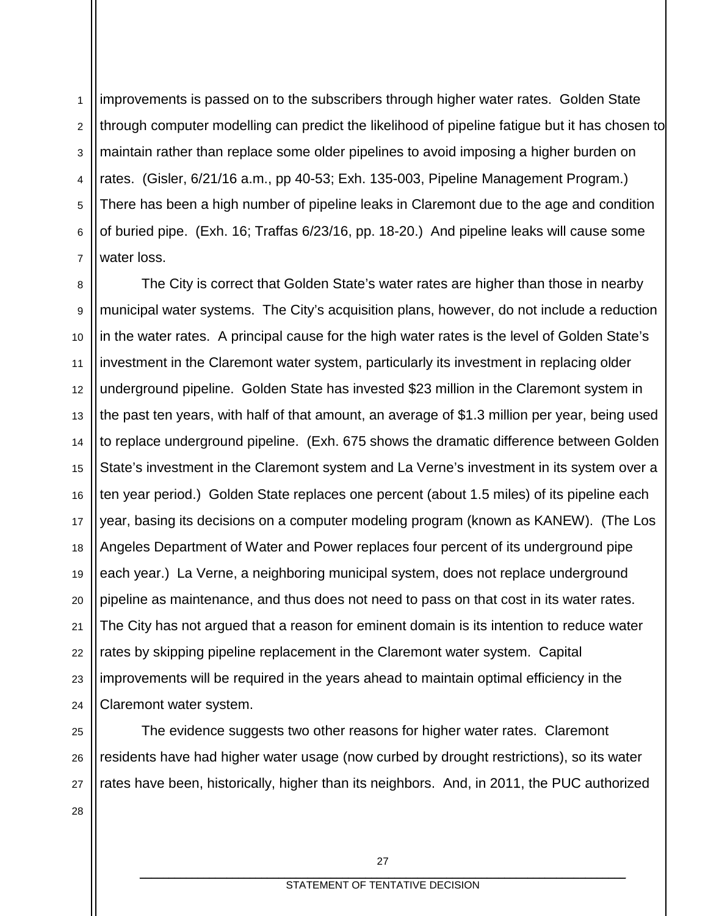1 2 3 4 5 6 7 improvements is passed on to the subscribers through higher water rates. Golden State through computer modelling can predict the likelihood of pipeline fatigue but it has chosen to maintain rather than replace some older pipelines to avoid imposing a higher burden on rates. (Gisler, 6/21/16 a.m., pp 40-53; Exh. 135-003, Pipeline Management Program.) There has been a high number of pipeline leaks in Claremont due to the age and condition of buried pipe. (Exh. 16; Traffas 6/23/16, pp. 18-20.) And pipeline leaks will cause some water loss.

8 9 10 11 12 13 14 15 16 17 18 19 20 21 22 23 24 The City is correct that Golden State's water rates are higher than those in nearby municipal water systems. The City's acquisition plans, however, do not include a reduction in the water rates. A principal cause for the high water rates is the level of Golden State's investment in the Claremont water system, particularly its investment in replacing older underground pipeline. Golden State has invested \$23 million in the Claremont system in the past ten years, with half of that amount, an average of \$1.3 million per year, being used to replace underground pipeline. (Exh. 675 shows the dramatic difference between Golden State's investment in the Claremont system and La Verne's investment in its system over a ten year period.) Golden State replaces one percent (about 1.5 miles) of its pipeline each year, basing its decisions on a computer modeling program (known as KANEW). (The Los Angeles Department of Water and Power replaces four percent of its underground pipe each year.) La Verne, a neighboring municipal system, does not replace underground pipeline as maintenance, and thus does not need to pass on that cost in its water rates. The City has not argued that a reason for eminent domain is its intention to reduce water rates by skipping pipeline replacement in the Claremont water system. Capital improvements will be required in the years ahead to maintain optimal efficiency in the Claremont water system.

25 26 27 The evidence suggests two other reasons for higher water rates. Claremont residents have had higher water usage (now curbed by drought restrictions), so its water rates have been, historically, higher than its neighbors. And, in 2011, the PUC authorized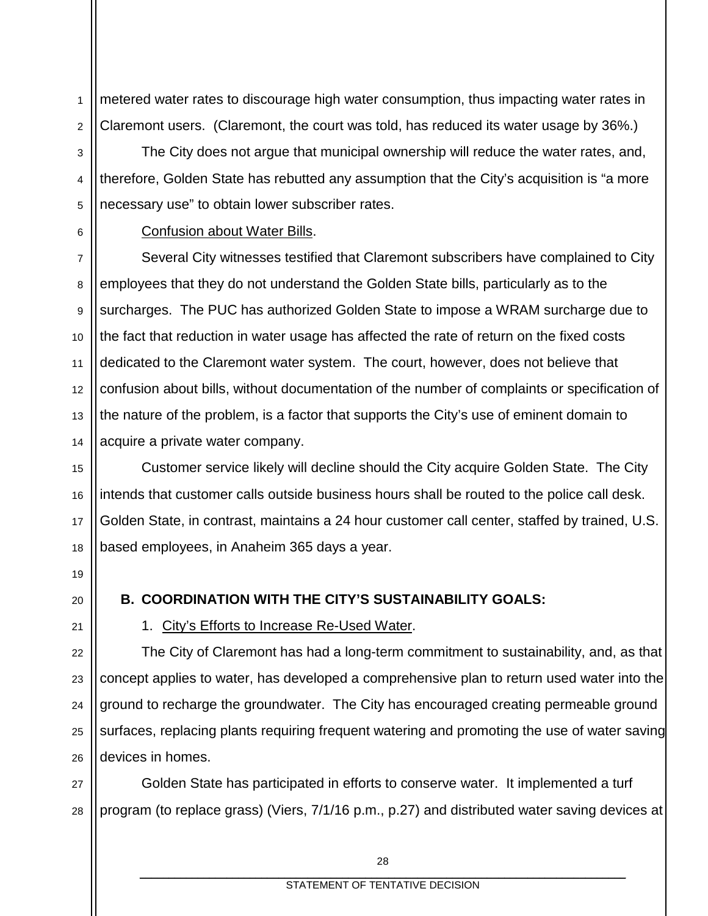1 2 metered water rates to discourage high water consumption, thus impacting water rates in Claremont users. (Claremont, the court was told, has reduced its water usage by 36%.)

3 4 5 The City does not argue that municipal ownership will reduce the water rates, and, therefore, Golden State has rebutted any assumption that the City's acquisition is "a more necessary use" to obtain lower subscriber rates.

6

#### Confusion about Water Bills.

7 8 9 10 11 12 13 14 Several City witnesses testified that Claremont subscribers have complained to City employees that they do not understand the Golden State bills, particularly as to the surcharges. The PUC has authorized Golden State to impose a WRAM surcharge due to the fact that reduction in water usage has affected the rate of return on the fixed costs dedicated to the Claremont water system. The court, however, does not believe that confusion about bills, without documentation of the number of complaints or specification of the nature of the problem, is a factor that supports the City's use of eminent domain to acquire a private water company.

Customer service likely will decline should the City acquire Golden State. The City intends that customer calls outside business hours shall be routed to the police call desk. Golden State, in contrast, maintains a 24 hour customer call center, staffed by trained, U.S. based employees, in Anaheim 365 days a year.

### **B. COORDINATION WITH THE CITY'S SUSTAINABILITY GOALS:**

1. City's Efforts to Increase Re-Used Water.

The City of Claremont has had a long-term commitment to sustainability, and, as that concept applies to water, has developed a comprehensive plan to return used water into the ground to recharge the groundwater. The City has encouraged creating permeable ground surfaces, replacing plants requiring frequent watering and promoting the use of water saving devices in homes.

Golden State has participated in efforts to conserve water. It implemented a turf program (to replace grass) (Viers, 7/1/16 p.m., p.27) and distributed water saving devices at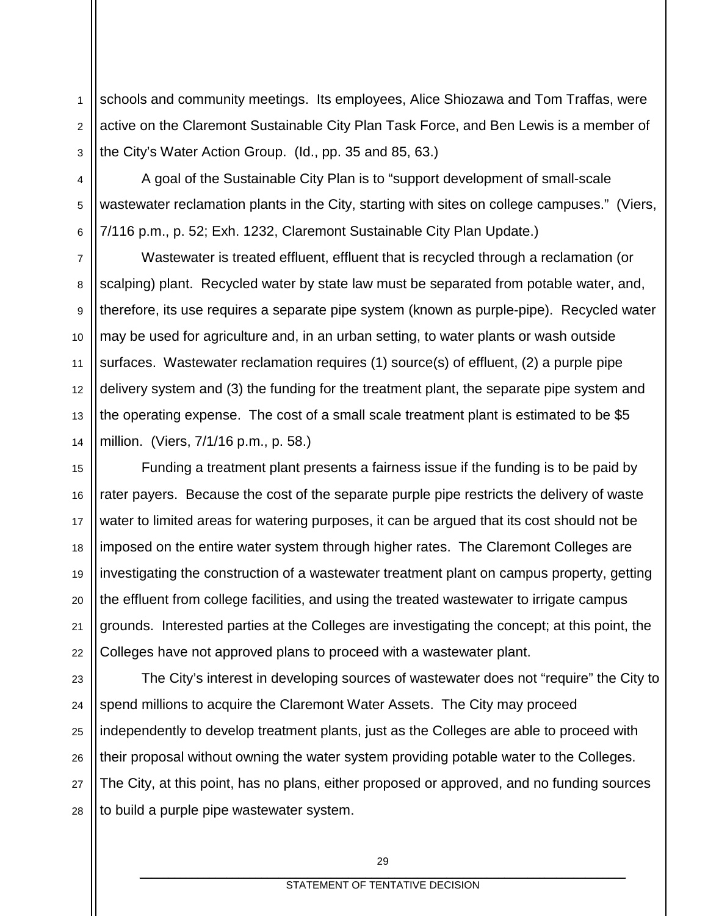1 2 3 schools and community meetings. Its employees, Alice Shiozawa and Tom Traffas, were active on the Claremont Sustainable City Plan Task Force, and Ben Lewis is a member of the City's Water Action Group. (Id., pp. 35 and 85, 63.)

4 5 6 A goal of the Sustainable City Plan is to "support development of small-scale wastewater reclamation plants in the City, starting with sites on college campuses." (Viers, 7/116 p.m., p. 52; Exh. 1232, Claremont Sustainable City Plan Update.)

7 8 9 10 11 12 13 14 Wastewater is treated effluent, effluent that is recycled through a reclamation (or scalping) plant. Recycled water by state law must be separated from potable water, and, therefore, its use requires a separate pipe system (known as purple-pipe). Recycled water may be used for agriculture and, in an urban setting, to water plants or wash outside surfaces. Wastewater reclamation requires (1) source(s) of effluent, (2) a purple pipe delivery system and (3) the funding for the treatment plant, the separate pipe system and the operating expense. The cost of a small scale treatment plant is estimated to be \$5 million. (Viers, 7/1/16 p.m., p. 58.)

15 16 17 18 19 20 22 Funding a treatment plant presents a fairness issue if the funding is to be paid by rater payers. Because the cost of the separate purple pipe restricts the delivery of waste water to limited areas for watering purposes, it can be argued that its cost should not be imposed on the entire water system through higher rates. The Claremont Colleges are investigating the construction of a wastewater treatment plant on campus property, getting the effluent from college facilities, and using the treated wastewater to irrigate campus grounds. Interested parties at the Colleges are investigating the concept; at this point, the Colleges have not approved plans to proceed with a wastewater plant.

21

23 24 25 26 27 28 The City's interest in developing sources of wastewater does not "require" the City to spend millions to acquire the Claremont Water Assets. The City may proceed independently to develop treatment plants, just as the Colleges are able to proceed with their proposal without owning the water system providing potable water to the Colleges. The City, at this point, has no plans, either proposed or approved, and no funding sources to build a purple pipe wastewater system.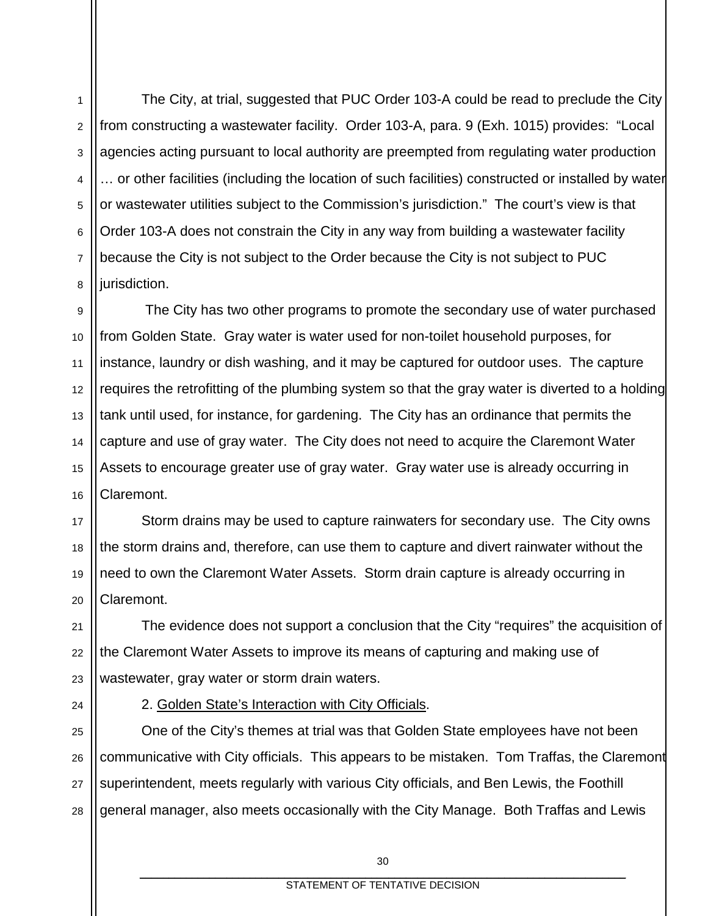1 2 3 4 5 6 7 8 The City, at trial, suggested that PUC Order 103-A could be read to preclude the City from constructing a wastewater facility. Order 103-A, para. 9 (Exh. 1015) provides: "Local agencies acting pursuant to local authority are preempted from regulating water production … or other facilities (including the location of such facilities) constructed or installed by water or wastewater utilities subject to the Commission's jurisdiction." The court's view is that Order 103-A does not constrain the City in any way from building a wastewater facility because the City is not subject to the Order because the City is not subject to PUC jurisdiction.

9 10 11 12 13 14 15 16 The City has two other programs to promote the secondary use of water purchased from Golden State. Gray water is water used for non-toilet household purposes, for instance, laundry or dish washing, and it may be captured for outdoor uses. The capture requires the retrofitting of the plumbing system so that the gray water is diverted to a holding tank until used, for instance, for gardening. The City has an ordinance that permits the capture and use of gray water. The City does not need to acquire the Claremont Water Assets to encourage greater use of gray water. Gray water use is already occurring in Claremont.

17 18 19 20 Storm drains may be used to capture rainwaters for secondary use. The City owns the storm drains and, therefore, can use them to capture and divert rainwater without the need to own the Claremont Water Assets. Storm drain capture is already occurring in Claremont.

The evidence does not support a conclusion that the City "requires" the acquisition of the Claremont Water Assets to improve its means of capturing and making use of wastewater, gray water or storm drain waters.

24

21

22

23

2. Golden State's Interaction with City Officials.

25 26 27 28 One of the City's themes at trial was that Golden State employees have not been communicative with City officials. This appears to be mistaken. Tom Traffas, the Claremont superintendent, meets regularly with various City officials, and Ben Lewis, the Foothill general manager, also meets occasionally with the City Manage. Both Traffas and Lewis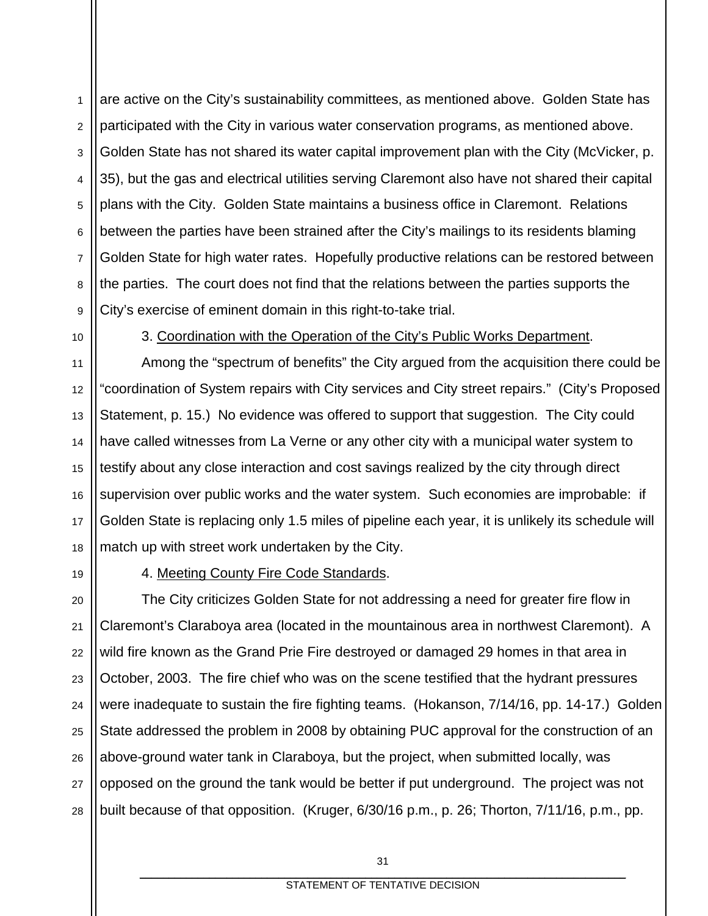1 2 3 4 5 6 7 8 9 are active on the City's sustainability committees, as mentioned above. Golden State has participated with the City in various water conservation programs, as mentioned above. Golden State has not shared its water capital improvement plan with the City (McVicker, p. 35), but the gas and electrical utilities serving Claremont also have not shared their capital plans with the City. Golden State maintains a business office in Claremont. Relations between the parties have been strained after the City's mailings to its residents blaming Golden State for high water rates. Hopefully productive relations can be restored between the parties. The court does not find that the relations between the parties supports the City's exercise of eminent domain in this right-to-take trial.

10

11

17

19

3. Coordination with the Operation of the City's Public Works Department.

12 13 14 15 16 18 Among the "spectrum of benefits" the City argued from the acquisition there could be "coordination of System repairs with City services and City street repairs." (City's Proposed Statement, p. 15.) No evidence was offered to support that suggestion. The City could have called witnesses from La Verne or any other city with a municipal water system to testify about any close interaction and cost savings realized by the city through direct supervision over public works and the water system. Such economies are improbable: if Golden State is replacing only 1.5 miles of pipeline each year, it is unlikely its schedule will match up with street work undertaken by the City.

4. Meeting County Fire Code Standards.

20 21 22 23 24 25 26 27 28 The City criticizes Golden State for not addressing a need for greater fire flow in Claremont's Claraboya area (located in the mountainous area in northwest Claremont). A wild fire known as the Grand Prie Fire destroyed or damaged 29 homes in that area in October, 2003. The fire chief who was on the scene testified that the hydrant pressures were inadequate to sustain the fire fighting teams. (Hokanson, 7/14/16, pp. 14-17.) Golden State addressed the problem in 2008 by obtaining PUC approval for the construction of an above-ground water tank in Claraboya, but the project, when submitted locally, was opposed on the ground the tank would be better if put underground. The project was not built because of that opposition. (Kruger, 6/30/16 p.m., p. 26; Thorton, 7/11/16, p.m., pp.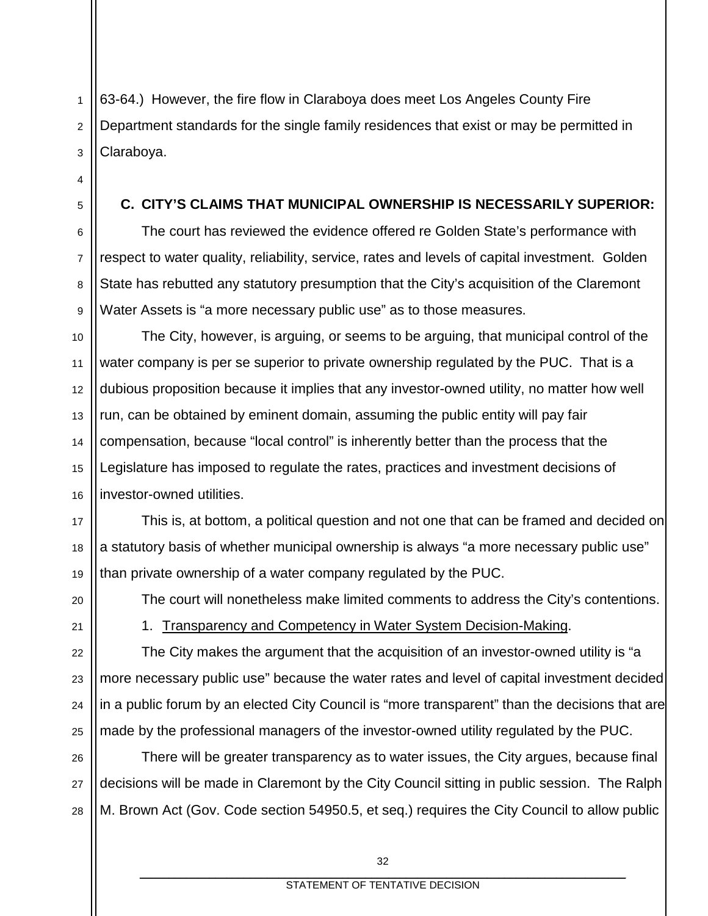63-64.) However, the fire flow in Claraboya does meet Los Angeles County Fire Department standards for the single family residences that exist or may be permitted in Claraboya.

#### **C. CITY'S CLAIMS THAT MUNICIPAL OWNERSHIP IS NECESSARILY SUPERIOR:**

The court has reviewed the evidence offered re Golden State's performance with respect to water quality, reliability, service, rates and levels of capital investment. Golden State has rebutted any statutory presumption that the City's acquisition of the Claremont Water Assets is "a more necessary public use" as to those measures.

10 12 13 14 15 16 The City, however, is arguing, or seems to be arguing, that municipal control of the water company is per se superior to private ownership regulated by the PUC. That is a dubious proposition because it implies that any investor-owned utility, no matter how well run, can be obtained by eminent domain, assuming the public entity will pay fair compensation, because "local control" is inherently better than the process that the Legislature has imposed to regulate the rates, practices and investment decisions of investor-owned utilities.

This is, at bottom, a political question and not one that can be framed and decided on a statutory basis of whether municipal ownership is always "a more necessary public use" than private ownership of a water company regulated by the PUC.

20

17

18

19

21

22

23

24

25

1

2

3

4

5

6

7

8

9

11

The court will nonetheless make limited comments to address the City's contentions.

1. Transparency and Competency in Water System Decision-Making.

The City makes the argument that the acquisition of an investor-owned utility is "a more necessary public use" because the water rates and level of capital investment decided in a public forum by an elected City Council is "more transparent" than the decisions that are made by the professional managers of the investor-owned utility regulated by the PUC.

26 27 28 There will be greater transparency as to water issues, the City argues, because final decisions will be made in Claremont by the City Council sitting in public session. The Ralph M. Brown Act (Gov. Code section 54950.5, et seq.) requires the City Council to allow public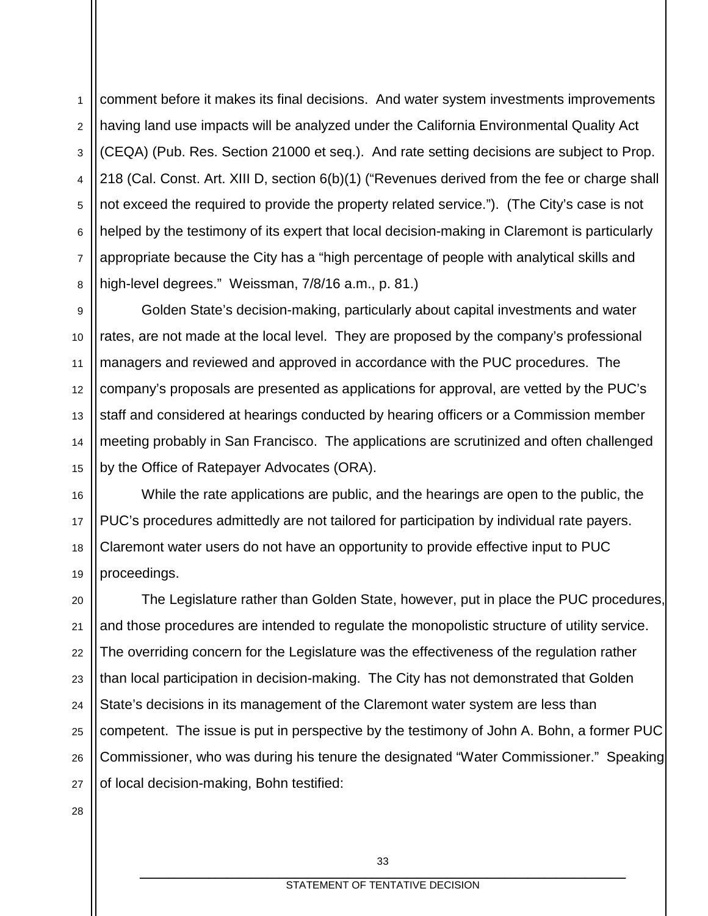1 2 3 4 5 6 7 8 comment before it makes its final decisions. And water system investments improvements having land use impacts will be analyzed under the California Environmental Quality Act (CEQA) (Pub. Res. Section 21000 et seq.). And rate setting decisions are subject to Prop. 218 (Cal. Const. Art. XIII D, section 6(b)(1) ("Revenues derived from the fee or charge shall not exceed the required to provide the property related service."). (The City's case is not helped by the testimony of its expert that local decision-making in Claremont is particularly appropriate because the City has a "high percentage of people with analytical skills and high-level degrees." Weissman, 7/8/16 a.m., p. 81.)

9 10 11 12 13 14 15 Golden State's decision-making, particularly about capital investments and water rates, are not made at the local level. They are proposed by the company's professional managers and reviewed and approved in accordance with the PUC procedures. The company's proposals are presented as applications for approval, are vetted by the PUC's staff and considered at hearings conducted by hearing officers or a Commission member meeting probably in San Francisco. The applications are scrutinized and often challenged by the Office of Ratepayer Advocates (ORA).

16 17 18 19 While the rate applications are public, and the hearings are open to the public, the PUC's procedures admittedly are not tailored for participation by individual rate payers. Claremont water users do not have an opportunity to provide effective input to PUC proceedings.

20 21 22 23 24 25 26 27 The Legislature rather than Golden State, however, put in place the PUC procedures, and those procedures are intended to regulate the monopolistic structure of utility service. The overriding concern for the Legislature was the effectiveness of the regulation rather than local participation in decision-making. The City has not demonstrated that Golden State's decisions in its management of the Claremont water system are less than competent. The issue is put in perspective by the testimony of John A. Bohn, a former PUC Commissioner, who was during his tenure the designated "Water Commissioner." Speaking of local decision-making, Bohn testified: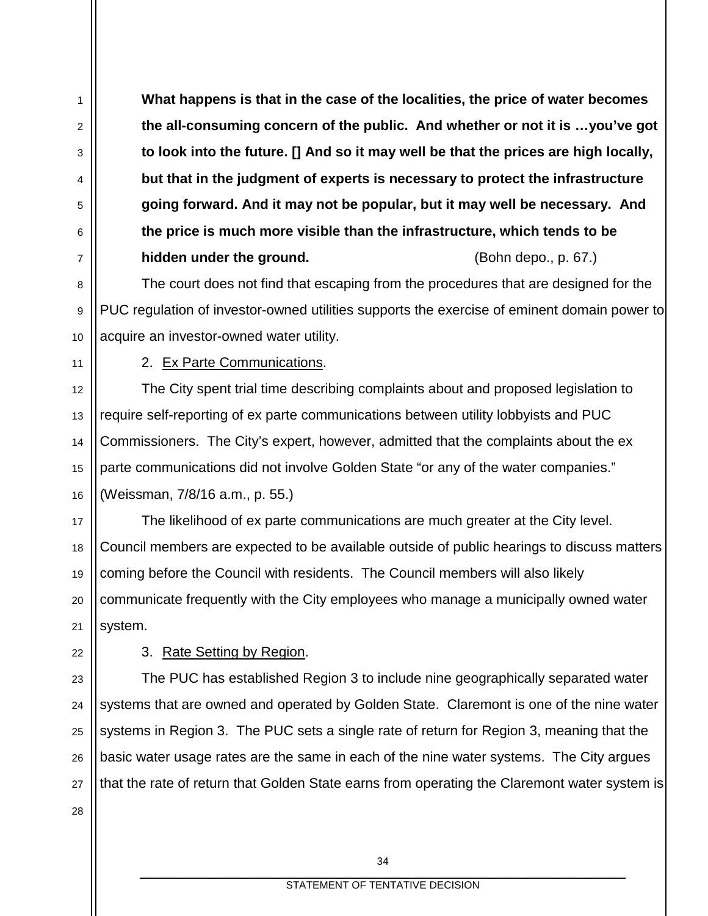**What happens is that in the case of the localities, the price of water becomes the all-consuming concern of the public. And whether or not it is …you've got to look into the future. [] And so it may well be that the prices are high locally, but that in the judgment of experts is necessary to protect the infrastructure going forward. And it may not be popular, but it may well be necessary. And the price is much more visible than the infrastructure, which tends to be hidden under the ground.** The same state of the state (Bohn depo., p. 67.)

The court does not find that escaping from the procedures that are designed for the PUC regulation of investor-owned utilities supports the exercise of eminent domain power to acquire an investor-owned water utility.

11

1

2

3

4

5

6

7

8

9

10

12

13

14

15

16

22

28

2. Ex Parte Communications.

The City spent trial time describing complaints about and proposed legislation to require self-reporting of ex parte communications between utility lobbyists and PUC Commissioners. The City's expert, however, admitted that the complaints about the ex parte communications did not involve Golden State "or any of the water companies." (Weissman, 7/8/16 a.m., p. 55.)

17 18 19 20 21 The likelihood of ex parte communications are much greater at the City level. Council members are expected to be available outside of public hearings to discuss matters coming before the Council with residents. The Council members will also likely communicate frequently with the City employees who manage a municipally owned water system.

3. Rate Setting by Region.

23 24 25 26 27 The PUC has established Region 3 to include nine geographically separated water systems that are owned and operated by Golden State. Claremont is one of the nine water systems in Region 3. The PUC sets a single rate of return for Region 3, meaning that the basic water usage rates are the same in each of the nine water systems. The City argues that the rate of return that Golden State earns from operating the Claremont water system is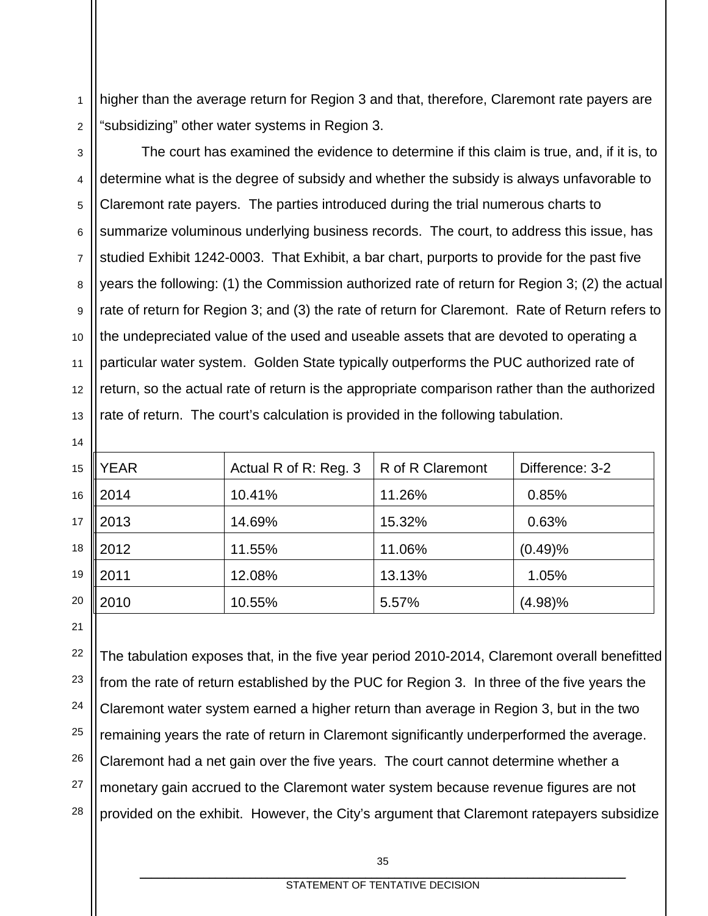1 2 higher than the average return for Region 3 and that, therefore, Claremont rate payers are "subsidizing" other water systems in Region 3.

3

4 5 6 7 8 9 10 11 12 13 The court has examined the evidence to determine if this claim is true, and, if it is, to determine what is the degree of subsidy and whether the subsidy is always unfavorable to Claremont rate payers. The parties introduced during the trial numerous charts to summarize voluminous underlying business records. The court, to address this issue, has studied Exhibit 1242-0003. That Exhibit, a bar chart, purports to provide for the past five years the following: (1) the Commission authorized rate of return for Region 3; (2) the actual rate of return for Region 3; and (3) the rate of return for Claremont. Rate of Return refers to the undepreciated value of the used and useable assets that are devoted to operating a particular water system. Golden State typically outperforms the PUC authorized rate of return, so the actual rate of return is the appropriate comparison rather than the authorized rate of return. The court's calculation is provided in the following tabulation.

| 15 | <b>YEAR</b>      | Actual R of R: Reg. 3 | R of R Claremont | Difference: 3-2 |
|----|------------------|-----------------------|------------------|-----------------|
| 16 | 2014             | 10.41%                | 11.26%           | 0.85%           |
| 17 | $\ $ 2013        | 14.69%                | 15.32%           | 0.63%           |
| 18 | $\parallel$ 2012 | 11.55%                | 11.06%           | (0.49)%         |
| 19 | 2011             | 12.08%                | 13.13%           | 1.05%           |
| 20 | 2010             | 10.55%                | 5.57%            | (4.98)%         |

21

14

22 23 24 25 26 27 28 The tabulation exposes that, in the five year period 2010-2014, Claremont overall benefitted from the rate of return established by the PUC for Region 3. In three of the five years the Claremont water system earned a higher return than average in Region 3, but in the two remaining years the rate of return in Claremont significantly underperformed the average. Claremont had a net gain over the five years. The court cannot determine whether a monetary gain accrued to the Claremont water system because revenue figures are not provided on the exhibit. However, the City's argument that Claremont ratepayers subsidize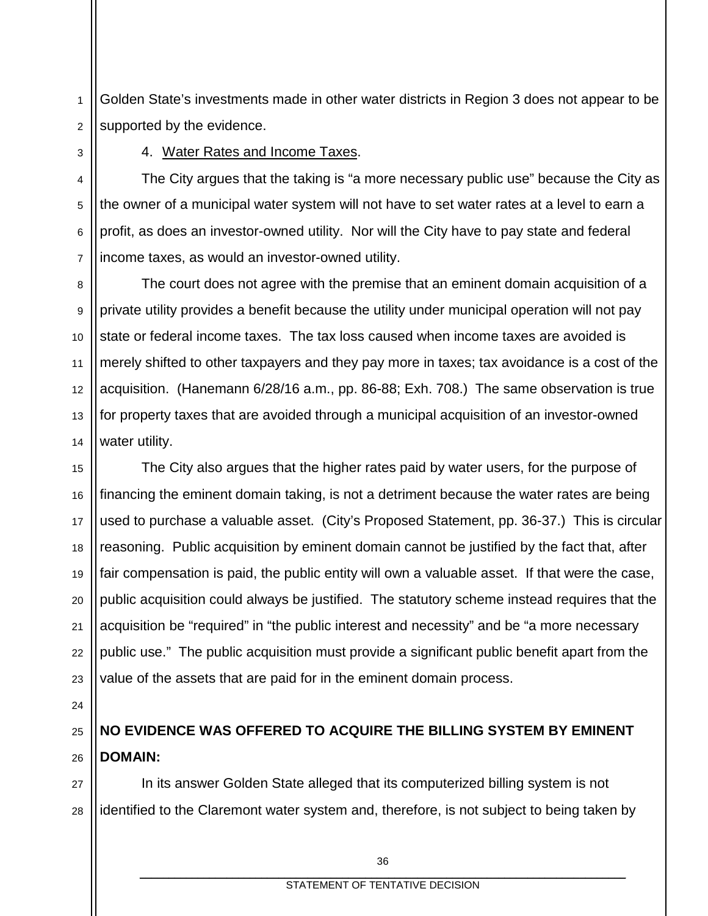1 2 Golden State's investments made in other water districts in Region 3 does not appear to be supported by the evidence.

3

4. Water Rates and Income Taxes.

4 5 6 7 The City argues that the taking is "a more necessary public use" because the City as the owner of a municipal water system will not have to set water rates at a level to earn a profit, as does an investor-owned utility. Nor will the City have to pay state and federal income taxes, as would an investor-owned utility.

8 9 10 11 12 13 14 The court does not agree with the premise that an eminent domain acquisition of a private utility provides a benefit because the utility under municipal operation will not pay state or federal income taxes. The tax loss caused when income taxes are avoided is merely shifted to other taxpayers and they pay more in taxes; tax avoidance is a cost of the acquisition. (Hanemann 6/28/16 a.m., pp. 86-88; Exh. 708.) The same observation is true for property taxes that are avoided through a municipal acquisition of an investor-owned water utility.

15 16 17 18 19 20 21 22 23 The City also argues that the higher rates paid by water users, for the purpose of financing the eminent domain taking, is not a detriment because the water rates are being used to purchase a valuable asset. (City's Proposed Statement, pp. 36-37.) This is circular reasoning. Public acquisition by eminent domain cannot be justified by the fact that, after fair compensation is paid, the public entity will own a valuable asset. If that were the case, public acquisition could always be justified. The statutory scheme instead requires that the acquisition be "required" in "the public interest and necessity" and be "a more necessary public use." The public acquisition must provide a significant public benefit apart from the value of the assets that are paid for in the eminent domain process.

24

25

26

# **NO EVIDENCE WAS OFFERED TO ACQUIRE THE BILLING SYSTEM BY EMINENT DOMAIN:**

27 28 In its answer Golden State alleged that its computerized billing system is not identified to the Claremont water system and, therefore, is not subject to being taken by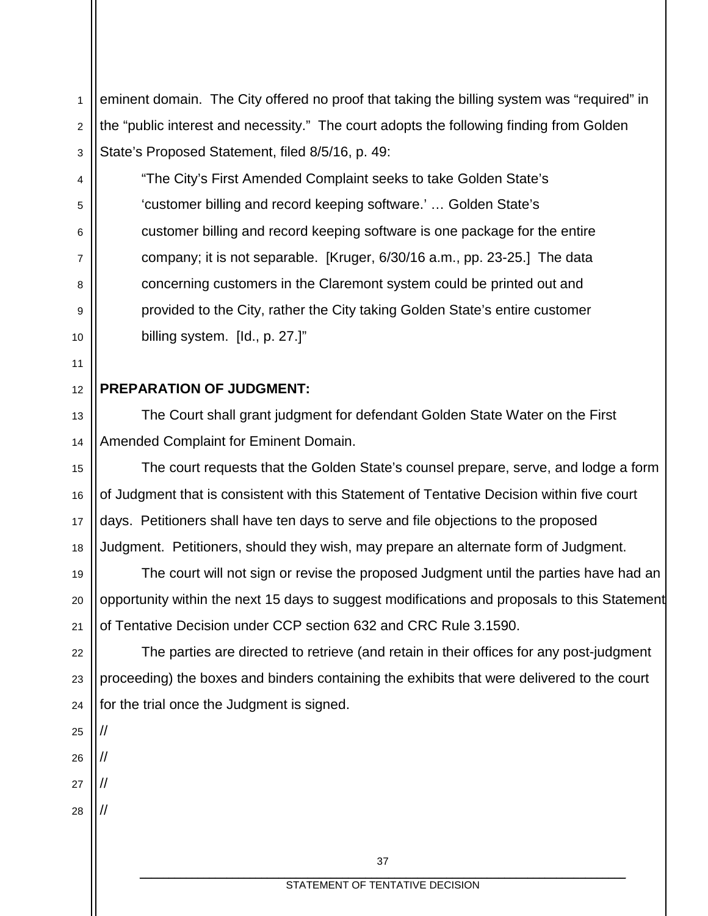2 3 eminent domain. The City offered no proof that taking the billing system was "required" in the "public interest and necessity." The court adopts the following finding from Golden State's Proposed Statement, filed 8/5/16, p. 49:

"The City's First Amended Complaint seeks to take Golden State's 'customer billing and record keeping software.' … Golden State's customer billing and record keeping software is one package for the entire company; it is not separable. [Kruger, 6/30/16 a.m., pp. 23-25.] The data concerning customers in the Claremont system could be printed out and provided to the City, rather the City taking Golden State's entire customer billing system. [Id., p. 27.]"

### **PREPARATION OF JUDGMENT:**

The Court shall grant judgment for defendant Golden State Water on the First Amended Complaint for Eminent Domain.

The court requests that the Golden State's counsel prepare, serve, and lodge a form of Judgment that is consistent with this Statement of Tentative Decision within five court days. Petitioners shall have ten days to serve and file objections to the proposed Judgment. Petitioners, should they wish, may prepare an alternate form of Judgment.

The court will not sign or revise the proposed Judgment until the parties have had an opportunity within the next 15 days to suggest modifications and proposals to this Statement of Tentative Decision under CCP section 632 and CRC Rule 3.1590.

22 23 24 The parties are directed to retrieve (and retain in their offices for any post-judgment proceeding) the boxes and binders containing the exhibits that were delivered to the court for the trial once the Judgment is signed.

25

//

//

//

//

1

4

5

6

7

8

9

10

11

12

13

14

15

16

17

18

19

20

- 26 27
- 28